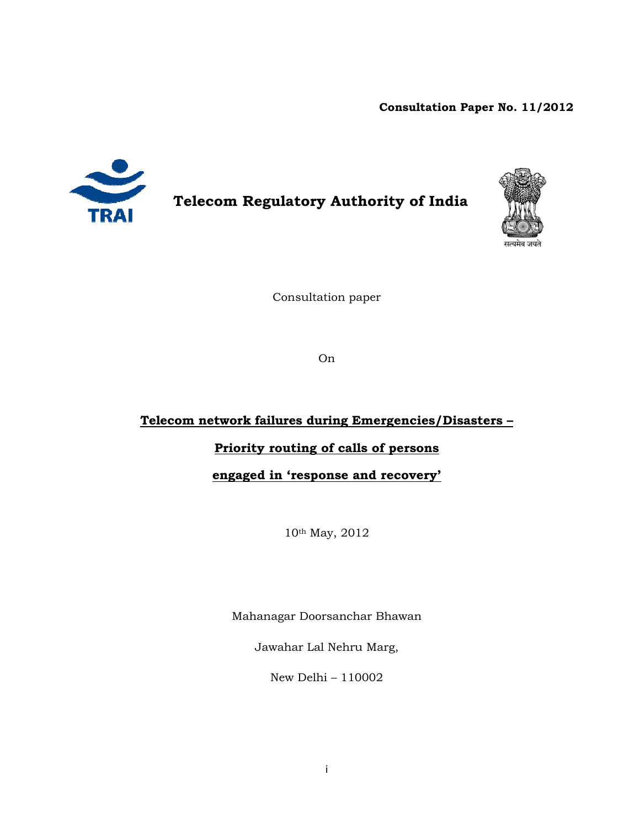# **Consultation Paper No. 11/2012**



# **Telecom Regulatory Authority of India**



Consultation paper

On

# **Telecom network failures during Emergencies/Disasters –**

# **Priority routing of calls of persons**

**engaged in 'response and recovery'** 

10th May, 2012

Mahanagar Doorsanchar Bhawan

Jawahar Lal Nehru Marg,

New Delhi – 110002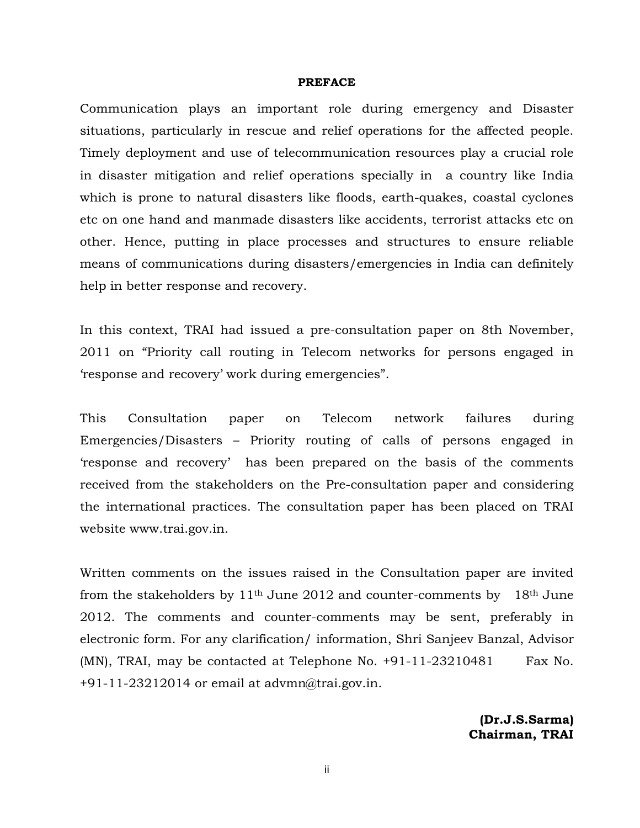#### **PREFACE**

Communication plays an important role during emergency and Disaster situations, particularly in rescue and relief operations for the affected people. Timely deployment and use of telecommunication resources play a crucial role in disaster mitigation and relief operations specially in a country like India which is prone to natural disasters like floods, earth-quakes, coastal cyclones etc on one hand and manmade disasters like accidents, terrorist attacks etc on other. Hence, putting in place processes and structures to ensure reliable means of communications during disasters/emergencies in India can definitely help in better response and recovery.

In this context, TRAI had issued a pre-consultation paper on 8th November, 2011 on "Priority call routing in Telecom networks for persons engaged in 'response and recovery' work during emergencies".

This Consultation paper on Telecom network failures during Emergencies/Disasters – Priority routing of calls of persons engaged in 'response and recovery' has been prepared on the basis of the comments received from the stakeholders on the Pre-consultation paper and considering the international practices. The consultation paper has been placed on TRAI website www.trai.gov.in.

Written comments on the issues raised in the Consultation paper are invited from the stakeholders by  $11<sup>th</sup>$  June 2012 and counter-comments by 18<sup>th</sup> June 2012. The comments and counter-comments may be sent, preferably in electronic form. For any clarification/ information, Shri Sanjeev Banzal, Advisor  $(MN)$ , TRAI, may be contacted at Telephone No.  $+91-11-23210481$  Fax No.  $+91-11-23212014$  or email at advmn@trai.gov.in.

> **(Dr.J.S.Sarma) Chairman, TRAI**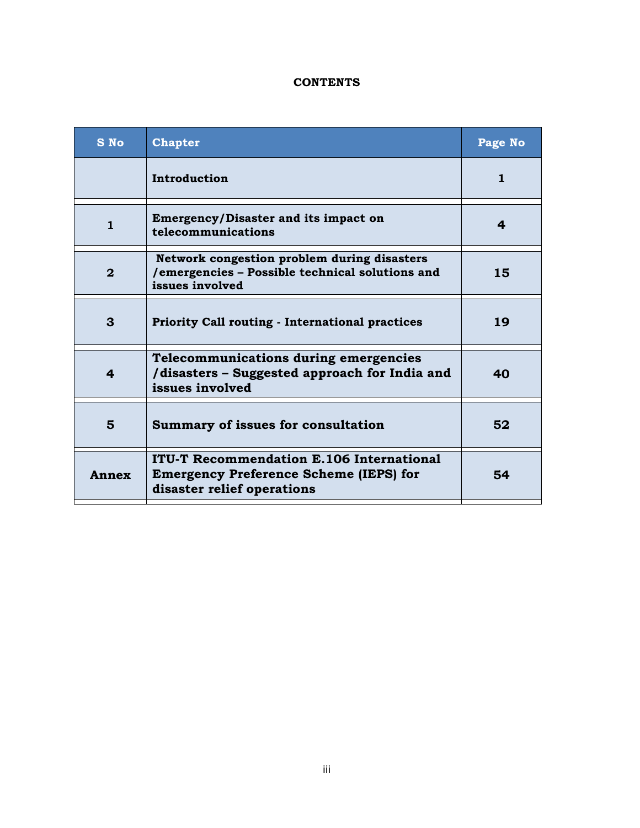# **CONTENTS**

| <b>S</b> No  | <b>Chapter</b>                                                                                                                 | Page No      |
|--------------|--------------------------------------------------------------------------------------------------------------------------------|--------------|
|              | Introduction                                                                                                                   | $\mathbf{1}$ |
| $\mathbf{1}$ | <b>Emergency/Disaster and its impact on</b><br>telecommunications                                                              | 4            |
| $\mathbf{2}$ | Network congestion problem during disasters<br>/emergencies - Possible technical solutions and<br>issues involved              | 15           |
| 3            | <b>Priority Call routing - International practices</b>                                                                         | 19           |
| 4            | <b>Telecommunications during emergencies</b><br>/disasters - Suggested approach for India and<br>issues involved               | 40           |
| 5            | <b>Summary of issues for consultation</b>                                                                                      | 52           |
| Annex        | <b>ITU-T Recommendation E.106 International</b><br><b>Emergency Preference Scheme (IEPS) for</b><br>disaster relief operations | 54           |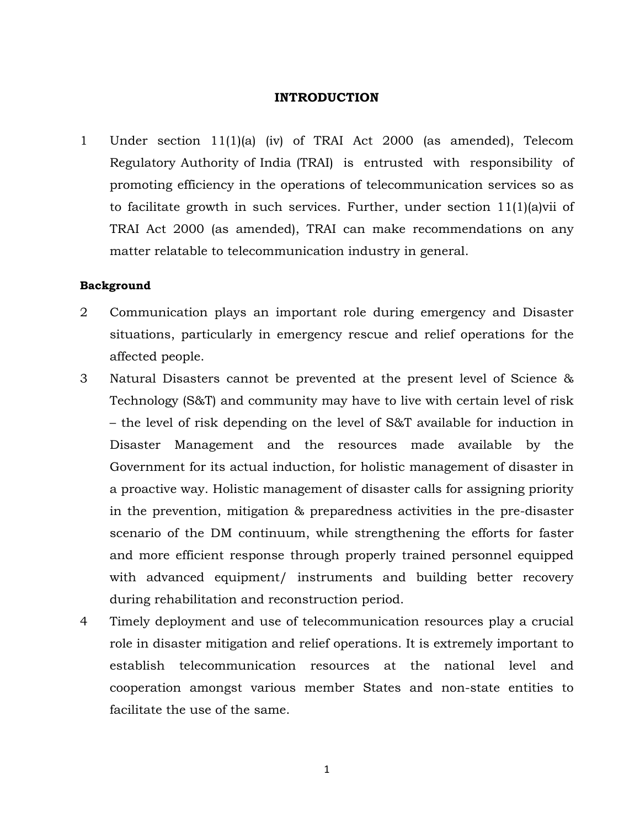### **INTRODUCTION**

1 Under section 11(1)(a) (iv) of TRAI Act 2000 (as amended), Telecom Regulatory Authority of India (TRAI) is entrusted with responsibility of promoting efficiency in the operations of telecommunication services so as to facilitate growth in such services. Further, under section 11(1)(a)vii of TRAI Act 2000 (as amended), TRAI can make recommendations on any matter relatable to telecommunication industry in general.

#### **Background**

- 2 Communication plays an important role during emergency and Disaster situations, particularly in emergency rescue and relief operations for the affected people.
- 3 Natural Disasters cannot be prevented at the present level of Science & Technology (S&T) and community may have to live with certain level of risk – the level of risk depending on the level of S&T available for induction in Disaster Management and the resources made available by the Government for its actual induction, for holistic management of disaster in a proactive way. Holistic management of disaster calls for assigning priority in the prevention, mitigation & preparedness activities in the pre-disaster scenario of the DM continuum, while strengthening the efforts for faster and more efficient response through properly trained personnel equipped with advanced equipment/ instruments and building better recovery during rehabilitation and reconstruction period.
- 4 Timely deployment and use of telecommunication resources play a crucial role in disaster mitigation and relief operations. It is extremely important to establish telecommunication resources at the national level and cooperation amongst various member States and non-state entities to facilitate the use of the same.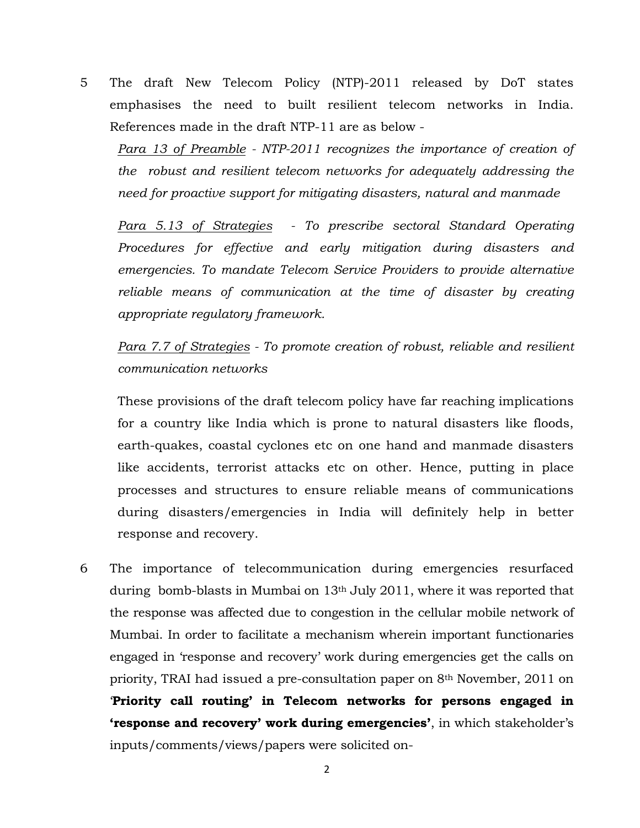5 The draft New Telecom Policy (NTP)-2011 released by DoT states emphasises the need to built resilient telecom networks in India. References made in the draft NTP-11 are as below -

Para 13 of Preamble - NTP-2011 recognizes the importance of creation of *the robust and resilient telecom networks for adequately addressing the need for proactive support for mitigating disasters, natural and manmade* 

*Para 5.13 of Strategies - To prescribe sectoral Standard Operating Procedures for effective and early mitigation during disasters and emergencies. To mandate Telecom Service Providers to provide alternative reliable means of communication at the time of disaster by creating appropriate regulatory framework.* 

*Para 7.7 of Strategies - To promote creation of robust, reliable and resilient communication networks* 

These provisions of the draft telecom policy have far reaching implications for a country like India which is prone to natural disasters like floods, earth-quakes, coastal cyclones etc on one hand and manmade disasters like accidents, terrorist attacks etc on other. Hence, putting in place processes and structures to ensure reliable means of communications during disasters/emergencies in India will definitely help in better response and recovery.

6 The importance of telecommunication during emergencies resurfaced during bomb-blasts in Mumbai on 13th July 2011, where it was reported that the response was affected due to congestion in the cellular mobile network of Mumbai. In order to facilitate a mechanism wherein important functionaries engaged in 'response and recovery' work during emergencies get the calls on priority, TRAI had issued a pre-consultation paper on 8th November, 2011 on '**Priority call routing' in Telecom networks for persons engaged in 'response and recovery' work during emergencies'**, in which stakeholder's inputs/comments/views/papers were solicited on-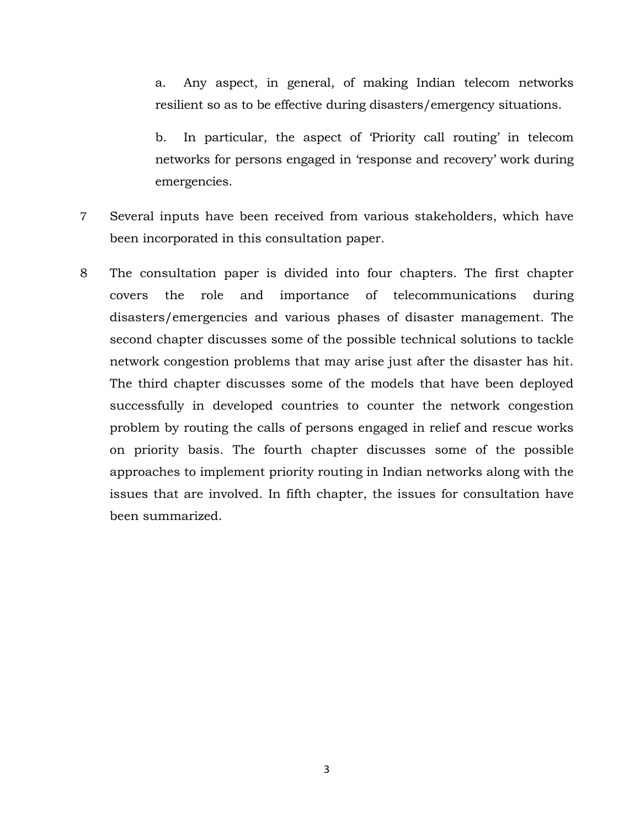a. Any aspect, in general, of making Indian telecom networks resilient so as to be effective during disasters/emergency situations.

b. In particular, the aspect of 'Priority call routing' in telecom networks for persons engaged in 'response and recovery' work during emergencies.

- 7 Several inputs have been received from various stakeholders, which have been incorporated in this consultation paper.
- 8 The consultation paper is divided into four chapters. The first chapter covers the role and importance of telecommunications during disasters/emergencies and various phases of disaster management. The second chapter discusses some of the possible technical solutions to tackle network congestion problems that may arise just after the disaster has hit. The third chapter discusses some of the models that have been deployed successfully in developed countries to counter the network congestion problem by routing the calls of persons engaged in relief and rescue works on priority basis. The fourth chapter discusses some of the possible approaches to implement priority routing in Indian networks along with the issues that are involved. In fifth chapter, the issues for consultation have been summarized.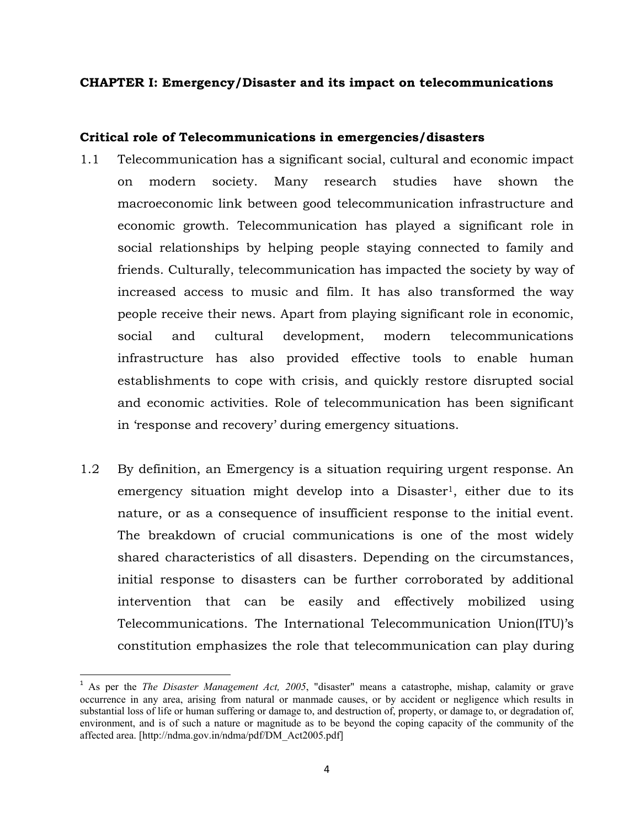### **CHAPTER I: Emergency/Disaster and its impact on telecommunications**

## **Critical role of Telecommunications in emergencies/disasters**

- 1.1 Telecommunication has a significant social, cultural and economic impact on modern society. Many research studies have shown the macroeconomic link between good telecommunication infrastructure and economic growth. Telecommunication has played a significant role in social relationships by helping people staying connected to family and friends. Culturally, telecommunication has impacted the society by way of increased access to music and film. It has also transformed the way people receive their news. Apart from playing significant role in economic, social and cultural development, modern telecommunications infrastructure has also provided effective tools to enable human establishments to cope with crisis, and quickly restore disrupted social and economic activities. Role of telecommunication has been significant in 'response and recovery' during emergency situations.
- 1.2 By definition, an Emergency is a situation requiring urgent response. An emergency situation might develop into a Disaster<sup>1</sup>, either due to its nature, or as a consequence of insufficient response to the initial event. The breakdown of crucial communications is one of the most widely shared characteristics of all disasters. Depending on the circumstances, initial response to disasters can be further corroborated by additional intervention that can be easily and effectively mobilized using Telecommunications. The International Telecommunication Union(ITU)'s constitution emphasizes the role that telecommunication can play during

<sup>1</sup> As per the *The Disaster Management Act, 2005*, "disaster" means a catastrophe, mishap, calamity or grave occurrence in any area, arising from natural or manmade causes, or by accident or negligence which results in substantial loss of life or human suffering or damage to, and destruction of, property, or damage to, or degradation of, environment, and is of such a nature or magnitude as to be beyond the coping capacity of the community of the affected area. [http://ndma.gov.in/ndma/pdf/DM\_Act2005.pdf]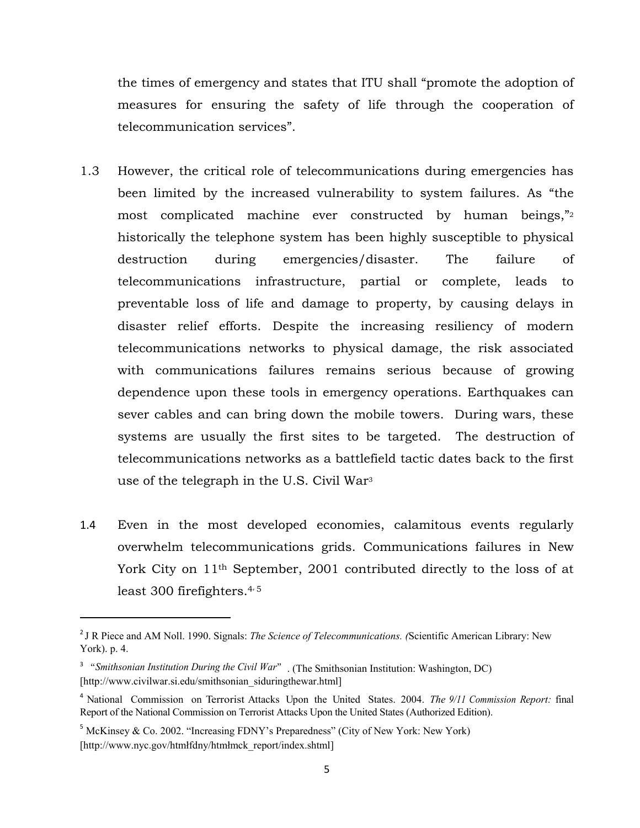the times of emergency and states that ITU shall "promote the adoption of measures for ensuring the safety of life through the cooperation of telecommunication services".

- 1.3 However, the critical role of telecommunications during emergencies has been limited by the increased vulnerability to system failures. As "the most complicated machine ever constructed by human beings,"2 historically the telephone system has been highly susceptible to physical destruction during emergencies/disaster. The failure of telecommunications infrastructure, partial or complete, leads to preventable loss of life and damage to property, by causing delays in disaster relief efforts. Despite the increasing resiliency of modern telecommunications networks to physical damage, the risk associated with communications failures remains serious because of growing dependence upon these tools in emergency operations. Earthquakes can sever cables and can bring down the mobile towers. During wars, these systems are usually the first sites to be targeted. The destruction of telecommunications networks as a battlefield tactic dates back to the first use of the telegraph in the U.S. Civil War3
- 1.4 Even in the most developed economies, calamitous events regularly overwhelm telecommunications grids. Communications failures in New York City on 11th September, 2001 contributed directly to the loss of at least 300 firefighters. $4/5$

<sup>2</sup> J R Piece and AM Noll. 1990. Signals: *The Science of Telecommunications. (*Scientific American Library: New York). p. 4.

<sup>&</sup>lt;sup>3</sup> "*Smithsonian Institution During the Civil War*". (The Smithsonian Institution: Washington, DC) [http://www.civilwar.si.edu/smithsonian\_siduringthewar.html]

<sup>4</sup> National Commission on Terrorist Attacks Upon the United States. 2004. *The 9/11 Commission Report:* final Report of the National Commission on Terrorist Attacks Upon the United States (Authorized Edition).

 $<sup>5</sup>$  McKinsey & Co. 2002. "Increasing FDNY's Preparedness" (City of New York: New York)</sup> [http://www.nyc.gov/htmłfdny/htmłmck\_report/index.shtml]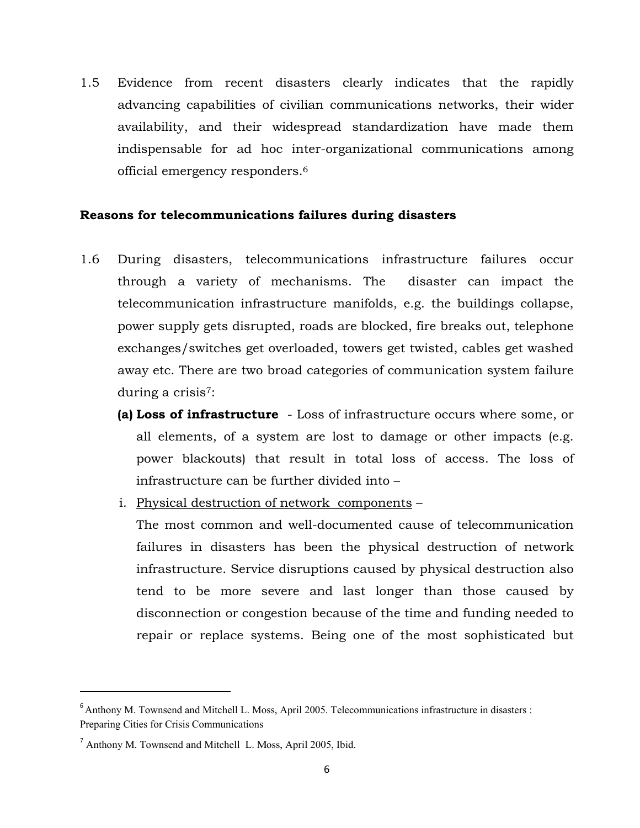1.5 Evidence from recent disasters clearly indicates that the rapidly advancing capabilities of civilian communications networks, their wider availability, and their widespread standardization have made them indispensable for ad hoc inter-organizational communications among official emergency responders.6

## **Reasons for telecommunications failures during disasters**

- 1.6 During disasters, telecommunications infrastructure failures occur through a variety of mechanisms. The disaster can impact the telecommunication infrastructure manifolds, e.g. the buildings collapse, power supply gets disrupted, roads are blocked, fire breaks out, telephone exchanges/switches get overloaded, towers get twisted, cables get washed away etc. There are two broad categories of communication system failure during a crisis7:
	- **(a) Loss of infrastructure** Loss of infrastructure occurs where some, or all elements, of a system are lost to damage or other impacts (e.g. power blackouts) that result in total loss of access. The loss of infrastructure can be further divided into –
	- i. Physical destruction of network components –

The most common and well-documented cause of telecommunication failures in disasters has been the physical destruction of network infrastructure. Service disruptions caused by physical destruction also tend to be more severe and last longer than those caused by disconnection or congestion because of the time and funding needed to repair or replace systems. Being one of the most sophisticated but

<sup>&</sup>lt;sup>6</sup> Anthony M. Townsend and Mitchell L. Moss, April 2005. Telecommunications infrastructure in disasters : Preparing Cities for Crisis Communications

<sup>&</sup>lt;sup>7</sup> Anthony M. Townsend and Mitchell L. Moss, April 2005, Ibid.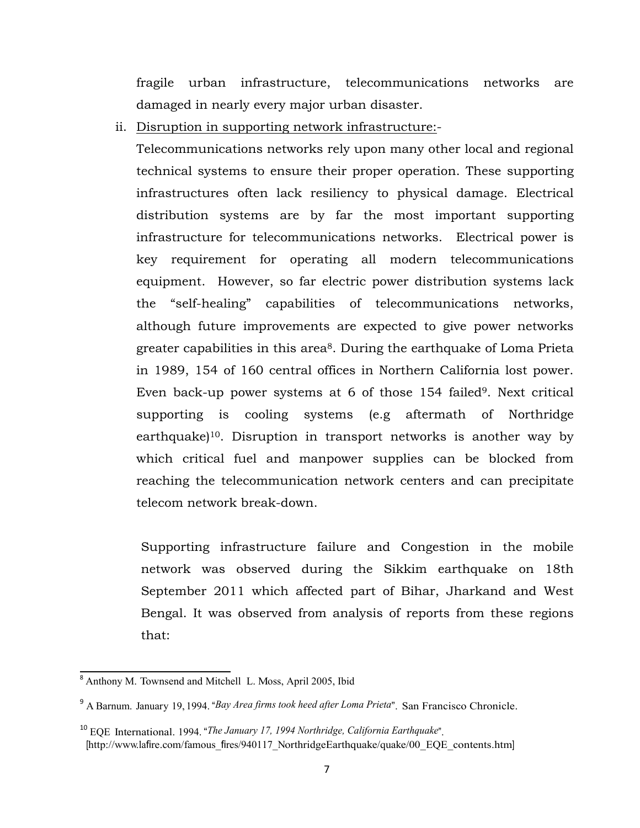fragile urban infrastructure, telecommunications networks are damaged in nearly every major urban disaster.

ii. Disruption in supporting network infrastructure:-

Telecommunications networks rely upon many other local and regional technical systems to ensure their proper operation. These supporting infrastructures often lack resiliency to physical damage. Electrical distribution systems are by far the most important supporting infrastructure for telecommunications networks. Electrical power is key requirement for operating all modern telecommunications equipment. However, so far electric power distribution systems lack the "self-healing" capabilities of telecommunications networks, although future improvements are expected to give power networks greater capabilities in this area<sup>8</sup>. During the earthquake of Loma Prieta in 1989, 154 of 160 central offices in Northern California lost power. Even back-up power systems at 6 of those 154 failed<sup>9</sup>. Next critical supporting is cooling systems (e.g aftermath of Northridge earthquake)10. Disruption in transport networks is another way by which critical fuel and manpower supplies can be blocked from reaching the telecommunication network centers and can precipitate telecom network break-down.

Supporting infrastructure failure and Congestion in the mobile network was observed during the Sikkim earthquake on 18th September 2011 which affected part of Bihar, Jharkand and West Bengal. It was observed from analysis of reports from these regions that:

 $\overline{a}$ <sup>8</sup> Anthony M. Townsend and Mitchell L. Moss, April 2005, Ibid

<sup>9</sup> A Barnum. January 19, 1994. "*Bay Area firms took heed after Loma Prieta*". San Francisco Chronicle.

<sup>10</sup> EQE International. 1994. "*The January 17, 1994 Northridge, California Earthquake*". [http://www.lafire.com/famous\_fires/940117\_NorthridgeEarthquake/quake/00\_EQE\_contents.htm]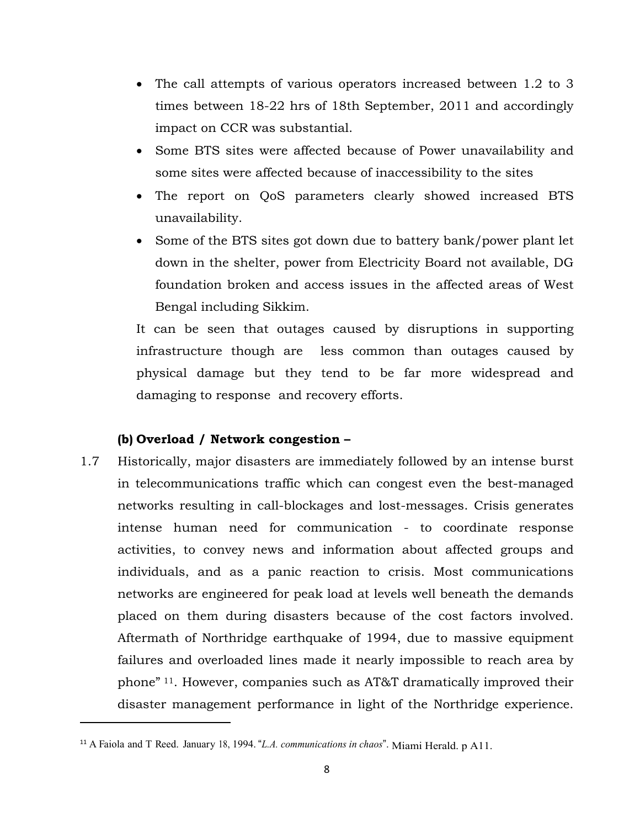- The call attempts of various operators increased between 1.2 to 3 times between 18-22 hrs of 18th September, 2011 and accordingly impact on CCR was substantial.
- Some BTS sites were affected because of Power unavailability and some sites were affected because of inaccessibility to the sites
- The report on QoS parameters clearly showed increased BTS unavailability.
- Some of the BTS sites got down due to battery bank/power plant let down in the shelter, power from Electricity Board not available, DG foundation broken and access issues in the affected areas of West Bengal including Sikkim.

It can be seen that outages caused by disruptions in supporting infrastructure though are less common than outages caused by physical damage but they tend to be far more widespread and damaging to response and recovery efforts.

# **(b) Overload / Network congestion –**

1.7 Historically, major disasters are immediately followed by an intense burst in telecommunications traffic which can congest even the best-managed networks resulting in call-blockages and lost-messages. Crisis generates intense human need for communication - to coordinate response activities, to convey news and information about affected groups and individuals, and as a panic reaction to crisis. Most communications networks are engineered for peak load at levels well beneath the demands placed on them during disasters because of the cost factors involved. Aftermath of Northridge earthquake of 1994, due to massive equipment failures and overloaded lines made it nearly impossible to reach area by phone" 11. However, companies such as AT&T dramatically improved their disaster management performance in light of the Northridge experience.

<sup>11</sup> A Faiola and T Reed. January 18, 1994. "*L.A. communications in chaos*". Miami Herald. p A11.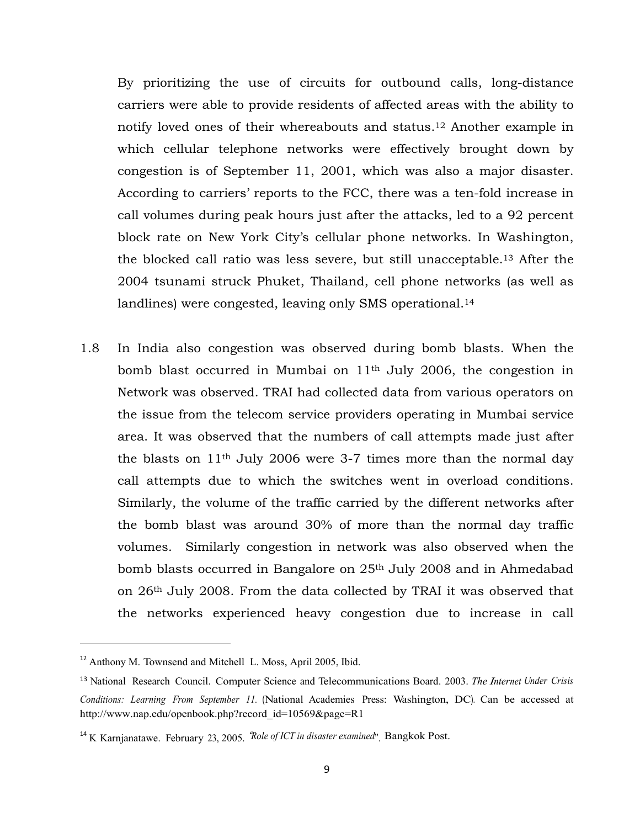By prioritizing the use of circuits for outbound calls, long-distance carriers were able to provide residents of affected areas with the ability to notify loved ones of their whereabouts and status.12 Another example in which cellular telephone networks were effectively brought down by congestion is of September 11, 2001, which was also a major disaster. According to carriers' reports to the FCC, there was a ten-fold increase in call volumes during peak hours just after the attacks, led to a 92 percent block rate on New York City's cellular phone networks. In Washington, the blocked call ratio was less severe, but still unacceptable.13 After the 2004 tsunami struck Phuket, Thailand, cell phone networks (as well as landlines) were congested, leaving only SMS operational.<sup>14</sup>

1.8 In India also congestion was observed during bomb blasts. When the bomb blast occurred in Mumbai on 11th July 2006, the congestion in Network was observed. TRAI had collected data from various operators on the issue from the telecom service providers operating in Mumbai service area. It was observed that the numbers of call attempts made just after the blasts on 11th July 2006 were 3-7 times more than the normal day call attempts due to which the switches went in overload conditions. Similarly, the volume of the traffic carried by the different networks after the bomb blast was around 30% of more than the normal day traffic volumes. Similarly congestion in network was also observed when the bomb blasts occurred in Bangalore on 25th July 2008 and in Ahmedabad on 26th July 2008. From the data collected by TRAI it was observed that the networks experienced heavy congestion due to increase in call

<sup>&</sup>lt;sup>12</sup> Anthony M. Townsend and Mitchell L. Moss, April 2005, Ibid.

<sup>13</sup> National Research Council. Computer Science and Telecommunications Board. 2003. *The Internet Under Crisis Conditions: Learning From September 11.* (National Academies Press: Washington, DC). Can be accessed at http://www.nap.edu/openbook.php?record\_id=10569&page=R1

<sup>14</sup> K Karnjanatawe. February 23, 2005. "*Role of ICT in disaster examined*". Bangkok Post.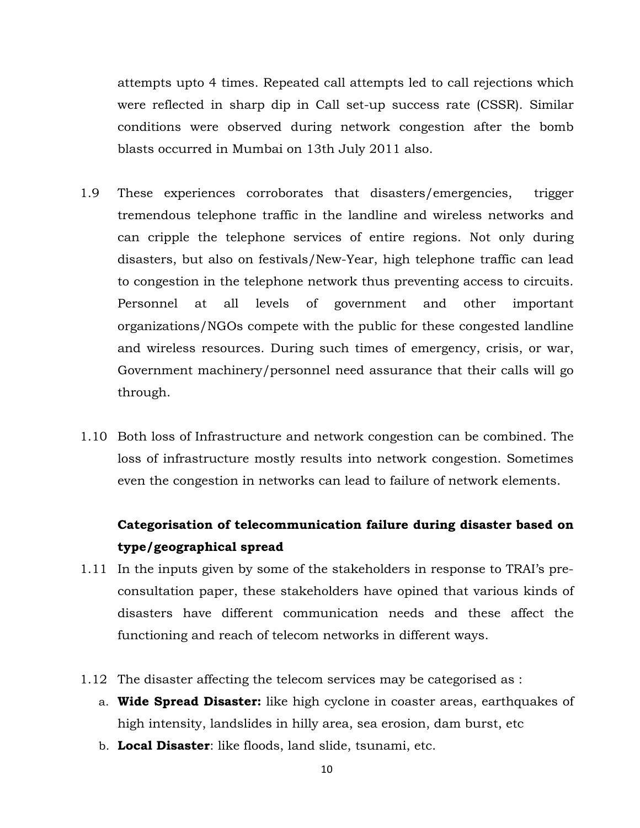attempts upto 4 times. Repeated call attempts led to call rejections which were reflected in sharp dip in Call set-up success rate (CSSR). Similar conditions were observed during network congestion after the bomb blasts occurred in Mumbai on 13th July 2011 also.

- 1.9 These experiences corroborates that disasters/emergencies, trigger tremendous telephone traffic in the landline and wireless networks and can cripple the telephone services of entire regions. Not only during disasters, but also on festivals/New-Year, high telephone traffic can lead to congestion in the telephone network thus preventing access to circuits. Personnel at all levels of government and other important organizations/NGOs compete with the public for these congested landline and wireless resources. During such times of emergency, crisis, or war, Government machinery/personnel need assurance that their calls will go through.
- 1.10 Both loss of Infrastructure and network congestion can be combined. The loss of infrastructure mostly results into network congestion. Sometimes even the congestion in networks can lead to failure of network elements.

# **Categorisation of telecommunication failure during disaster based on type/geographical spread**

- 1.11 In the inputs given by some of the stakeholders in response to TRAI's preconsultation paper, these stakeholders have opined that various kinds of disasters have different communication needs and these affect the functioning and reach of telecom networks in different ways.
- 1.12 The disaster affecting the telecom services may be categorised as :
	- a. **Wide Spread Disaster:** like high cyclone in coaster areas, earthquakes of high intensity, landslides in hilly area, sea erosion, dam burst, etc
	- b. **Local Disaster**: like floods, land slide, tsunami, etc.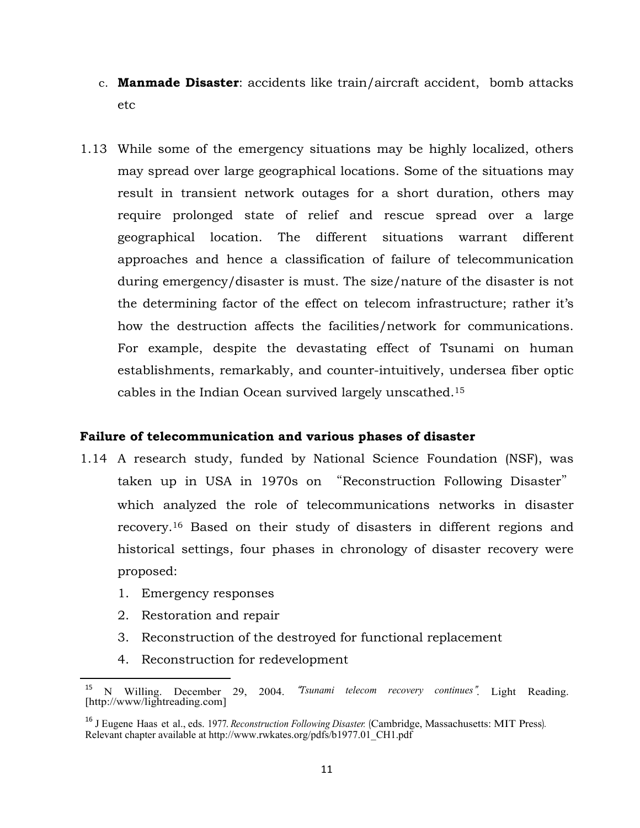- c. **Manmade Disaster**: accidents like train/aircraft accident, bomb attacks etc
- 1.13 While some of the emergency situations may be highly localized, others may spread over large geographical locations. Some of the situations may result in transient network outages for a short duration, others may require prolonged state of relief and rescue spread over a large geographical location. The different situations warrant different approaches and hence a classification of failure of telecommunication during emergency/disaster is must. The size/nature of the disaster is not the determining factor of the effect on telecom infrastructure; rather it's how the destruction affects the facilities/network for communications. For example, despite the devastating effect of Tsunami on human establishments, remarkably, and counter-intuitively, undersea fiber optic cables in the Indian Ocean survived largely unscathed.15

## **Failure of telecommunication and various phases of disaster**

- 1.14 A research study, funded by National Science Foundation (NSF), was taken up in USA in 1970s on "Reconstruction Following Disaster" which analyzed the role of telecommunications networks in disaster recovery.16 Based on their study of disasters in different regions and historical settings, four phases in chronology of disaster recovery were proposed:
	- 1. Emergency responses
	- 2. Restoration and repair

- 3. Reconstruction of the destroyed for functional replacement
- 4. Reconstruction for redevelopment

<sup>15</sup> N Willing. December 29, 2004. "*Tsunami telecom recovery continues*". Light Reading. [http://www/lightreading.com]

<sup>16</sup> J Eugene Haas et al., eds. 1977. *Reconstruction Following Disaster.* (Cambridge, Massachusetts: MIT Press). Relevant chapter available at http://www.rwkates.org/pdfs/b1977.01\_CH1.pdf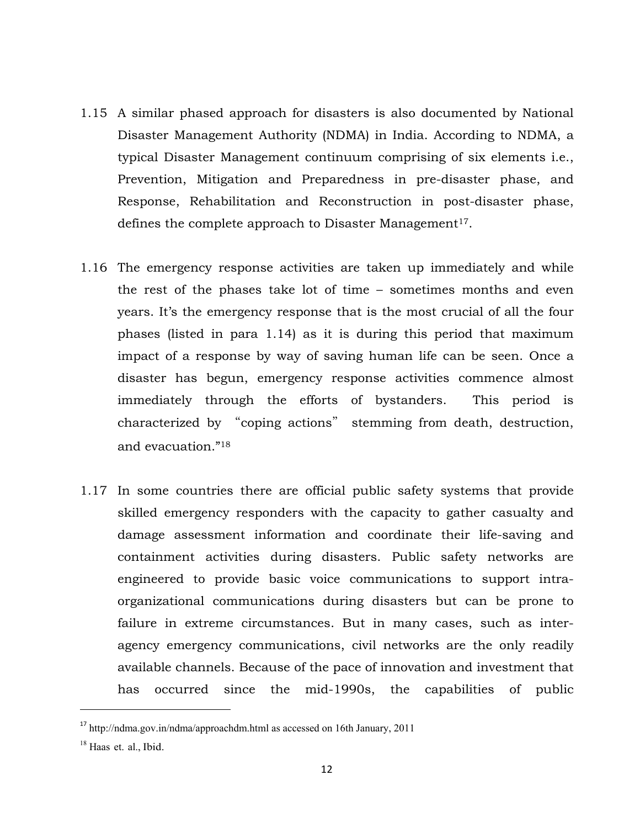- 1.15 A similar phased approach for disasters is also documented by National Disaster Management Authority (NDMA) in India. According to NDMA, a typical Disaster Management continuum comprising of six elements i.e., Prevention, Mitigation and Preparedness in pre-disaster phase, and Response, Rehabilitation and Reconstruction in post-disaster phase, defines the complete approach to Disaster Management<sup>17</sup>.
- 1.16 The emergency response activities are taken up immediately and while the rest of the phases take lot of time – sometimes months and even years. It's the emergency response that is the most crucial of all the four phases (listed in para 1.14) as it is during this period that maximum impact of a response by way of saving human life can be seen. Once a disaster has begun, emergency response activities commence almost immediately through the efforts of bystanders. This period is characterized by "coping actions" stemming from death, destruction, and evacuation."18
- 1.17 In some countries there are official public safety systems that provide skilled emergency responders with the capacity to gather casualty and damage assessment information and coordinate their life-saving and containment activities during disasters. Public safety networks are engineered to provide basic voice communications to support intraorganizational communications during disasters but can be prone to failure in extreme circumstances. But in many cases, such as interagency emergency communications, civil networks are the only readily available channels. Because of the pace of innovation and investment that has occurred since the mid-1990s, the capabilities of public

<sup>17</sup> http://ndma.gov.in/ndma/approachdm.html as accessed on 16th January, 2011

<sup>&</sup>lt;sup>18</sup> Haas et. al., Ibid.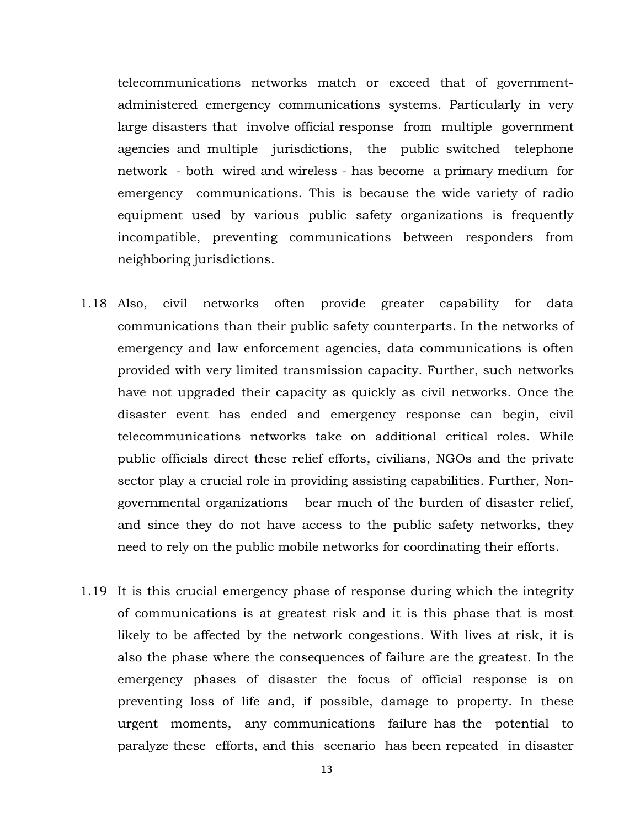telecommunications networks match or exceed that of governmentadministered emergency communications systems. Particularly in very large disasters that involve official response from multiple government agencies and multiple jurisdictions, the public switched telephone network - both wired and wireless - has become a primary medium for emergency communications. This is because the wide variety of radio equipment used by various public safety organizations is frequently incompatible, preventing communications between responders from neighboring jurisdictions.

- 1.18 Also, civil networks often provide greater capability for data communications than their public safety counterparts. In the networks of emergency and law enforcement agencies, data communications is often provided with very limited transmission capacity. Further, such networks have not upgraded their capacity as quickly as civil networks. Once the disaster event has ended and emergency response can begin, civil telecommunications networks take on additional critical roles. While public officials direct these relief efforts, civilians, NGOs and the private sector play a crucial role in providing assisting capabilities. Further, Nongovernmental organizations bear much of the burden of disaster relief, and since they do not have access to the public safety networks, they need to rely on the public mobile networks for coordinating their efforts.
- 1.19 It is this crucial emergency phase of response during which the integrity of communications is at greatest risk and it is this phase that is most likely to be affected by the network congestions. With lives at risk, it is also the phase where the consequences of failure are the greatest. In the emergency phases of disaster the focus of official response is on preventing loss of life and, if possible, damage to property. In these urgent moments, any communications failure has the potential to paralyze these efforts, and this scenario has been repeated in disaster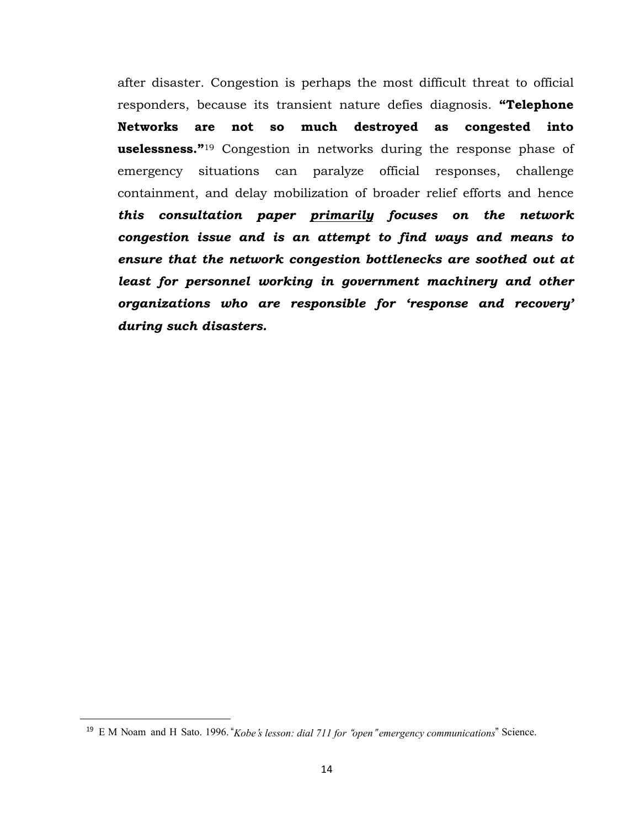after disaster. Congestion is perhaps the most difficult threat to official responders, because its transient nature defies diagnosis. **"Telephone Networks are not so much destroyed as congested into uselessness."**19 Congestion in networks during the response phase of emergency situations can paralyze official responses, challenge containment, and delay mobilization of broader relief efforts and hence *this consultation paper primarily focuses on the network congestion issue and is an attempt to find ways and means to ensure that the network congestion bottlenecks are soothed out at*  least for personnel working in government machinery and other *organizations who are responsible for 'response and recovery' during such disasters.*

<sup>19</sup> E M Noam and H Sato. 1996. "*Kobe*'*s lesson: dial 711 for* "*open*" *emergency communications*" Science.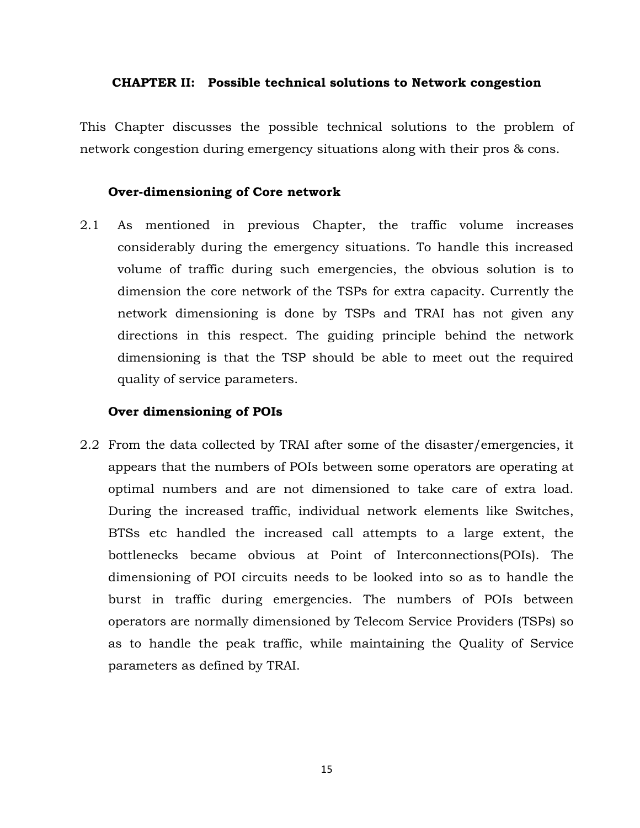#### **CHAPTER II: Possible technical solutions to Network congestion**

This Chapter discusses the possible technical solutions to the problem of network congestion during emergency situations along with their pros & cons.

### **Over-dimensioning of Core network**

2.1 As mentioned in previous Chapter, the traffic volume increases considerably during the emergency situations. To handle this increased volume of traffic during such emergencies, the obvious solution is to dimension the core network of the TSPs for extra capacity. Currently the network dimensioning is done by TSPs and TRAI has not given any directions in this respect. The guiding principle behind the network dimensioning is that the TSP should be able to meet out the required quality of service parameters.

### **Over dimensioning of POIs**

2.2 From the data collected by TRAI after some of the disaster/emergencies, it appears that the numbers of POIs between some operators are operating at optimal numbers and are not dimensioned to take care of extra load. During the increased traffic, individual network elements like Switches, BTSs etc handled the increased call attempts to a large extent, the bottlenecks became obvious at Point of Interconnections(POIs). The dimensioning of POI circuits needs to be looked into so as to handle the burst in traffic during emergencies. The numbers of POIs between operators are normally dimensioned by Telecom Service Providers (TSPs) so as to handle the peak traffic, while maintaining the Quality of Service parameters as defined by TRAI.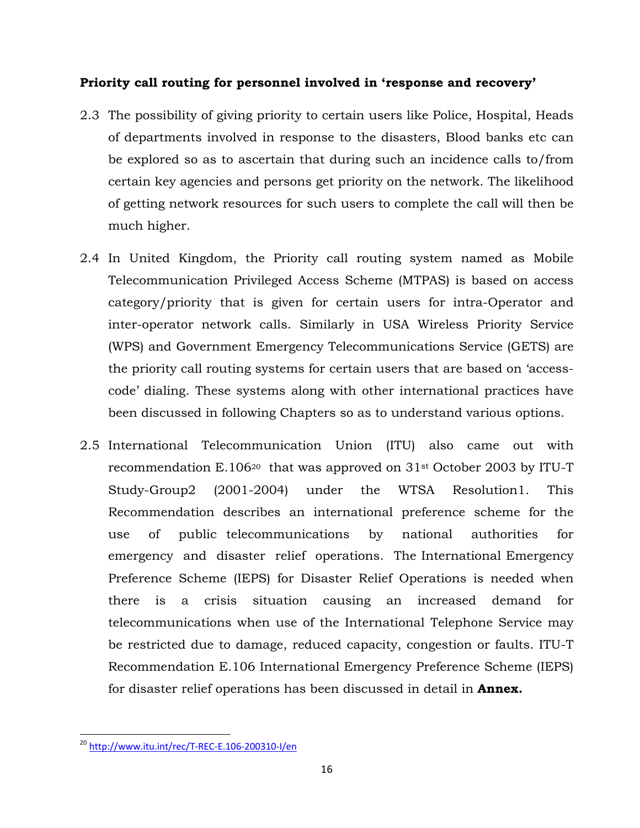# **Priority call routing for personnel involved in 'response and recovery'**

- 2.3 The possibility of giving priority to certain users like Police, Hospital, Heads of departments involved in response to the disasters, Blood banks etc can be explored so as to ascertain that during such an incidence calls to/from certain key agencies and persons get priority on the network. The likelihood of getting network resources for such users to complete the call will then be much higher.
- 2.4 In United Kingdom, the Priority call routing system named as Mobile Telecommunication Privileged Access Scheme (MTPAS) is based on access category/priority that is given for certain users for intra-Operator and inter-operator network calls. Similarly in USA Wireless Priority Service (WPS) and Government Emergency Telecommunications Service (GETS) are the priority call routing systems for certain users that are based on 'accesscode' dialing. These systems along with other international practices have been discussed in following Chapters so as to understand various options.
- 2.5 International Telecommunication Union (ITU) also came out with recommendation E.106<sup>20</sup> that was approved on  $31<sup>st</sup>$  October 2003 by ITU-T Study-Group2 (2001-2004) under the WTSA Resolution1. This Recommendation describes an international preference scheme for the use of public telecommunications by national authorities for emergency and disaster relief operations. The International Emergency Preference Scheme (IEPS) for Disaster Relief Operations is needed when there is a crisis situation causing an increased demand for telecommunications when use of the International Telephone Service may be restricted due to damage, reduced capacity, congestion or faults. ITU-T Recommendation E.106 International Emergency Preference Scheme (IEPS) for disaster relief operations has been discussed in detail in **Annex.**

 <sup>20</sup> http://www.itu.int/rec/T‐REC‐E.106‐200310‐I/en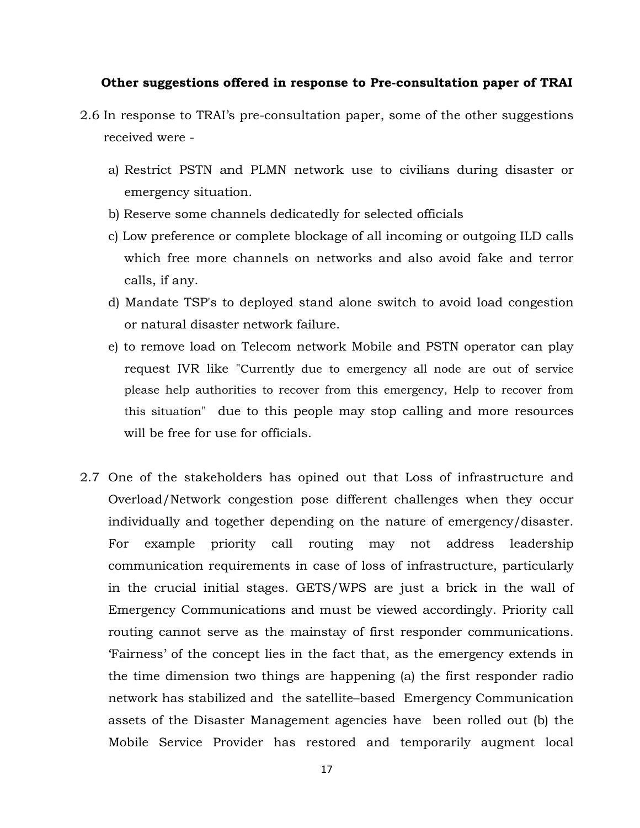### **Other suggestions offered in response to Pre-consultation paper of TRAI**

- 2.6 In response to TRAI's pre-consultation paper, some of the other suggestions received were
	- a) Restrict PSTN and PLMN network use to civilians during disaster or emergency situation.
	- b) Reserve some channels dedicatedly for selected officials
	- c) Low preference or complete blockage of all incoming or outgoing ILD calls which free more channels on networks and also avoid fake and terror calls, if any.
	- d) Mandate TSP's to deployed stand alone switch to avoid load congestion or natural disaster network failure.
	- e) to remove load on Telecom network Mobile and PSTN operator can play request IVR like "Currently due to emergency all node are out of service please help authorities to recover from this emergency, Help to recover from this situation" due to this people may stop calling and more resources will be free for use for officials.
- 2.7 One of the stakeholders has opined out that Loss of infrastructure and Overload/Network congestion pose different challenges when they occur individually and together depending on the nature of emergency/disaster. For example priority call routing may not address leadership communication requirements in case of loss of infrastructure, particularly in the crucial initial stages. GETS/WPS are just a brick in the wall of Emergency Communications and must be viewed accordingly. Priority call routing cannot serve as the mainstay of first responder communications. 'Fairness' of the concept lies in the fact that, as the emergency extends in the time dimension two things are happening (a) the first responder radio network has stabilized and the satellite–based Emergency Communication assets of the Disaster Management agencies have been rolled out (b) the Mobile Service Provider has restored and temporarily augment local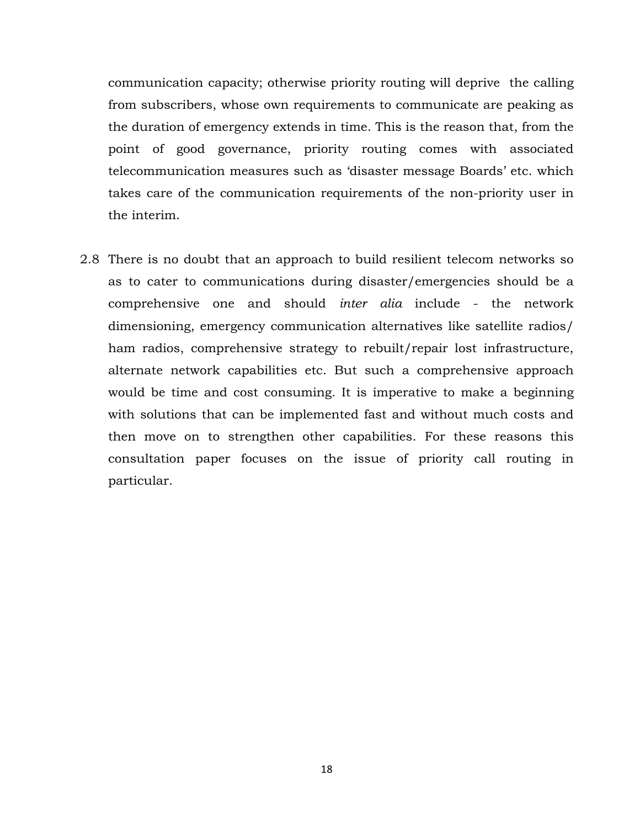communication capacity; otherwise priority routing will deprive the calling from subscribers, whose own requirements to communicate are peaking as the duration of emergency extends in time. This is the reason that, from the point of good governance, priority routing comes with associated telecommunication measures such as 'disaster message Boards' etc. which takes care of the communication requirements of the non-priority user in the interim.

2.8 There is no doubt that an approach to build resilient telecom networks so as to cater to communications during disaster/emergencies should be a comprehensive one and should *inter alia* include - the network dimensioning, emergency communication alternatives like satellite radios/ ham radios, comprehensive strategy to rebuilt/repair lost infrastructure, alternate network capabilities etc. But such a comprehensive approach would be time and cost consuming. It is imperative to make a beginning with solutions that can be implemented fast and without much costs and then move on to strengthen other capabilities. For these reasons this consultation paper focuses on the issue of priority call routing in particular.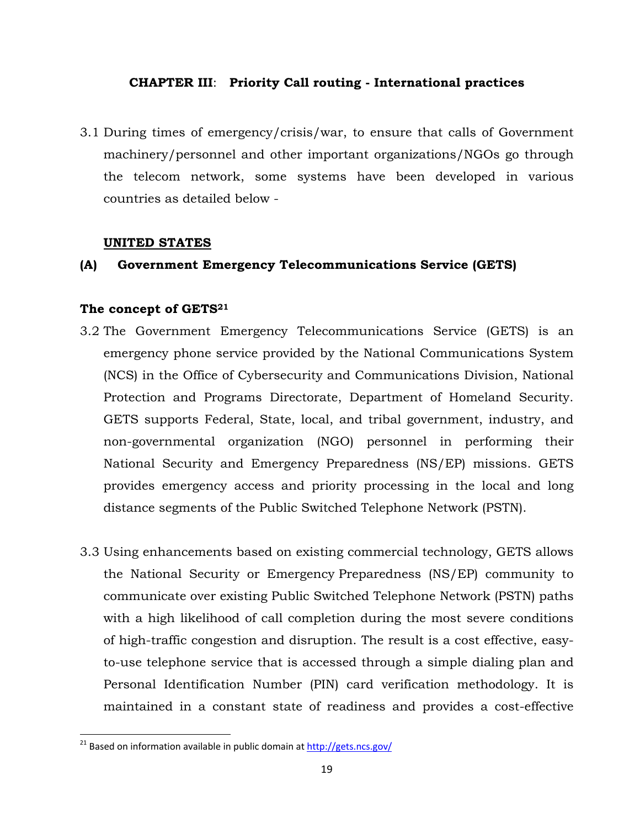## **CHAPTER III**: **Priority Call routing - International practices**

3.1 During times of emergency/crisis/war, to ensure that calls of Government machinery/personnel and other important organizations/NGOs go through the telecom network, some systems have been developed in various countries as detailed below -

## **UNITED STATES**

## **(A) Government Emergency Telecommunications Service (GETS)**

## **The concept of GETS21**

- 3.2 The Government Emergency Telecommunications Service (GETS) is an emergency phone service provided by the National Communications System (NCS) in the Office of Cybersecurity and Communications Division, National Protection and Programs Directorate, Department of Homeland Security. GETS supports Federal, State, local, and tribal government, industry, and non-governmental organization (NGO) personnel in performing their National Security and Emergency Preparedness (NS/EP) missions. GETS provides emergency access and priority processing in the local and long distance segments of the Public Switched Telephone Network (PSTN).
- 3.3 Using enhancements based on existing commercial technology, GETS allows the National Security or Emergency Preparedness (NS/EP) community to communicate over existing Public Switched Telephone Network (PSTN) paths with a high likelihood of call completion during the most severe conditions of high-traffic congestion and disruption. The result is a cost effective, easyto-use telephone service that is accessed through a simple dialing plan and Personal Identification Number (PIN) card verification methodology. It is maintained in a constant state of readiness and provides a cost-effective

<sup>&</sup>lt;sup>21</sup> Based on information available in public domain at http://gets.ncs.gov/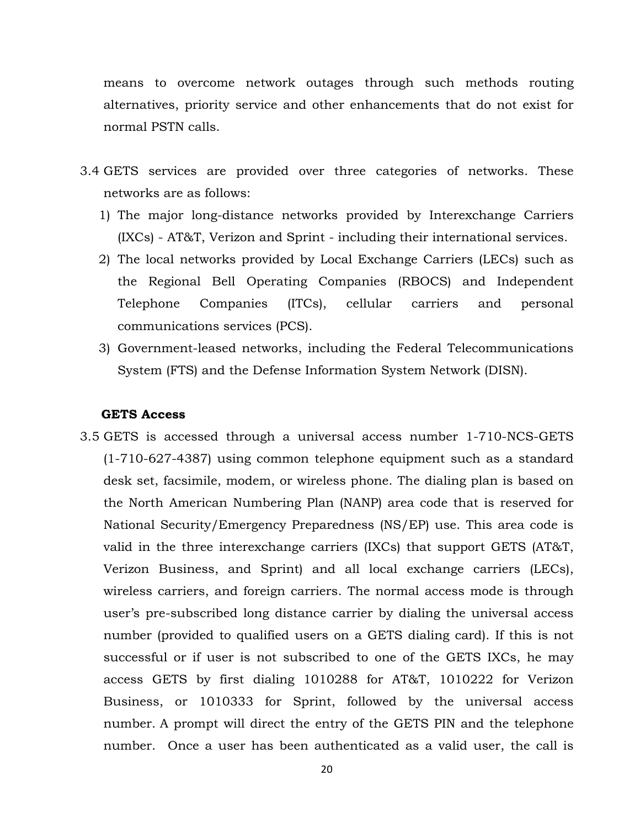means to overcome network outages through such methods routing alternatives, priority service and other enhancements that do not exist for normal PSTN calls.

- 3.4 GETS services are provided over three categories of networks. These networks are as follows:
	- 1) The major long-distance networks provided by Interexchange Carriers (IXCs) - AT&T, Verizon and Sprint - including their international services.
	- 2) The local networks provided by Local Exchange Carriers (LECs) such as the Regional Bell Operating Companies (RBOCS) and Independent Telephone Companies (ITCs), cellular carriers and personal communications services (PCS).
	- 3) Government-leased networks, including the Federal Telecommunications System (FTS) and the Defense Information System Network (DISN).

### **GETS Access**

3.5 GETS is accessed through a universal access number 1-710-NCS-GETS (1-710-627-4387) using common telephone equipment such as a standard desk set, facsimile, modem, or wireless phone. The dialing plan is based on the North American Numbering Plan (NANP) area code that is reserved for National Security/Emergency Preparedness (NS/EP) use. This area code is valid in the three interexchange carriers (IXCs) that support GETS (AT&T, Verizon Business, and Sprint) and all local exchange carriers (LECs), wireless carriers, and foreign carriers. The normal access mode is through user's pre-subscribed long distance carrier by dialing the universal access number (provided to qualified users on a GETS dialing card). If this is not successful or if user is not subscribed to one of the GETS IXCs, he may access GETS by first dialing 1010288 for AT&T, 1010222 for Verizon Business, or 1010333 for Sprint, followed by the universal access number. A prompt will direct the entry of the GETS PIN and the telephone number. Once a user has been authenticated as a valid user, the call is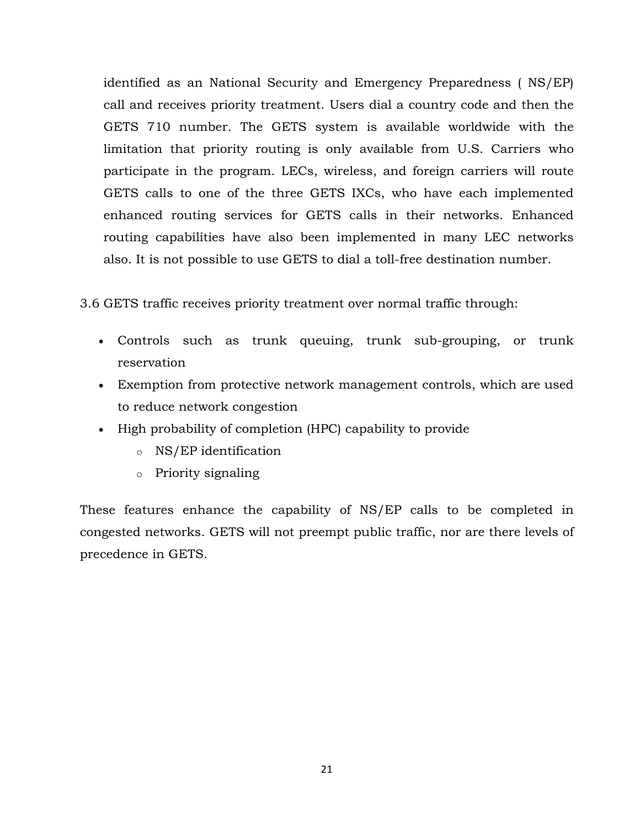identified as an National Security and Emergency Preparedness ( NS/EP) call and receives priority treatment. Users dial a country code and then the GETS 710 number. The GETS system is available worldwide with the limitation that priority routing is only available from U.S. Carriers who participate in the program. LECs, wireless, and foreign carriers will route GETS calls to one of the three GETS IXCs, who have each implemented enhanced routing services for GETS calls in their networks. Enhanced routing capabilities have also been implemented in many LEC networks also. It is not possible to use GETS to dial a toll-free destination number.

3.6 GETS traffic receives priority treatment over normal traffic through:

- Controls such as trunk queuing, trunk sub-grouping, or trunk reservation
- Exemption from protective network management controls, which are used to reduce network congestion
- High probability of completion (HPC) capability to provide
	- o NS/EP identification
	- o Priority signaling

These features enhance the capability of NS/EP calls to be completed in congested networks. GETS will not preempt public traffic, nor are there levels of precedence in GETS.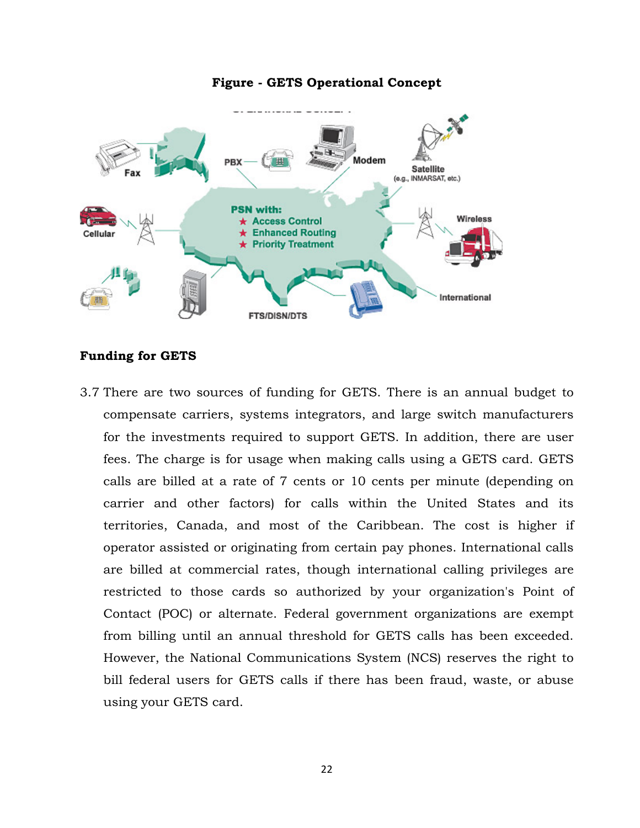

# **Figure - GETS Operational Concept**

## **Funding for GETS**

3.7 There are two sources of funding for GETS. There is an annual budget to compensate carriers, systems integrators, and large switch manufacturers for the investments required to support GETS. In addition, there are user fees. The charge is for usage when making calls using a GETS card. GETS calls are billed at a rate of 7 cents or 10 cents per minute (depending on carrier and other factors) for calls within the United States and its territories, Canada, and most of the Caribbean. The cost is higher if operator assisted or originating from certain pay phones. International calls are billed at commercial rates, though international calling privileges are restricted to those cards so authorized by your organization's Point of Contact (POC) or alternate. Federal government organizations are exempt from billing until an annual threshold for GETS calls has been exceeded. However, the National Communications System (NCS) reserves the right to bill federal users for GETS calls if there has been fraud, waste, or abuse using your GETS card.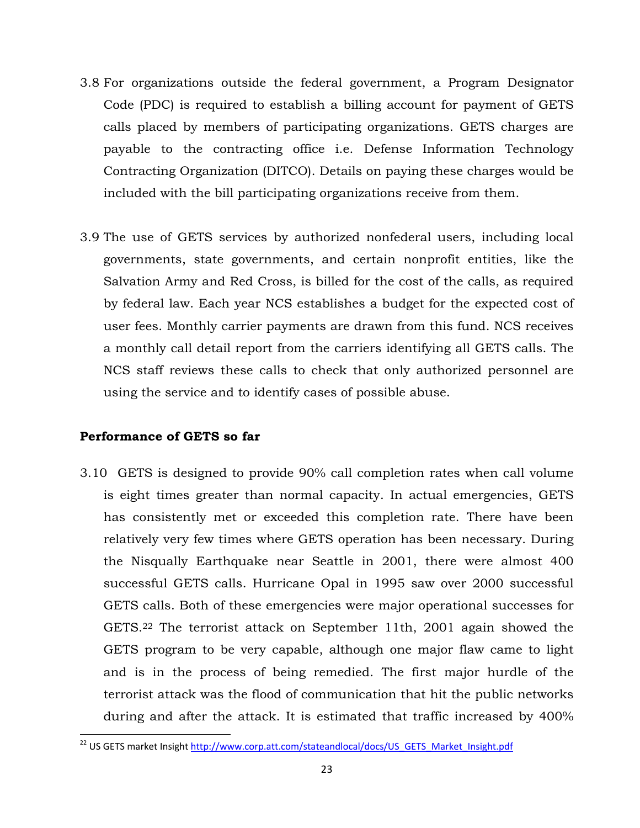- 3.8 For organizations outside the federal government, a Program Designator Code (PDC) is required to establish a billing account for payment of GETS calls placed by members of participating organizations. GETS charges are payable to the contracting office i.e. Defense Information Technology Contracting Organization (DITCO). Details on paying these charges would be included with the bill participating organizations receive from them.
- 3.9 The use of GETS services by authorized nonfederal users, including local governments, state governments, and certain nonprofit entities, like the Salvation Army and Red Cross, is billed for the cost of the calls, as required by federal law. Each year NCS establishes a budget for the expected cost of user fees. Monthly carrier payments are drawn from this fund. NCS receives a monthly call detail report from the carriers identifying all GETS calls. The NCS staff reviews these calls to check that only authorized personnel are using the service and to identify cases of possible abuse.

## **Performance of GETS so far**

3.10 GETS is designed to provide 90% call completion rates when call volume is eight times greater than normal capacity. In actual emergencies, GETS has consistently met or exceeded this completion rate. There have been relatively very few times where GETS operation has been necessary. During the Nisqually Earthquake near Seattle in 2001, there were almost 400 successful GETS calls. Hurricane Opal in 1995 saw over 2000 successful GETS calls. Both of these emergencies were major operational successes for GETS.22 The terrorist attack on September 11th, 2001 again showed the GETS program to be very capable, although one major flaw came to light and is in the process of being remedied. The first major hurdle of the terrorist attack was the flood of communication that hit the public networks during and after the attack. It is estimated that traffic increased by 400%

<sup>&</sup>lt;sup>22</sup> US GETS market Insight http://www.corp.att.com/stateandlocal/docs/US\_GETS\_Market\_Insight.pdf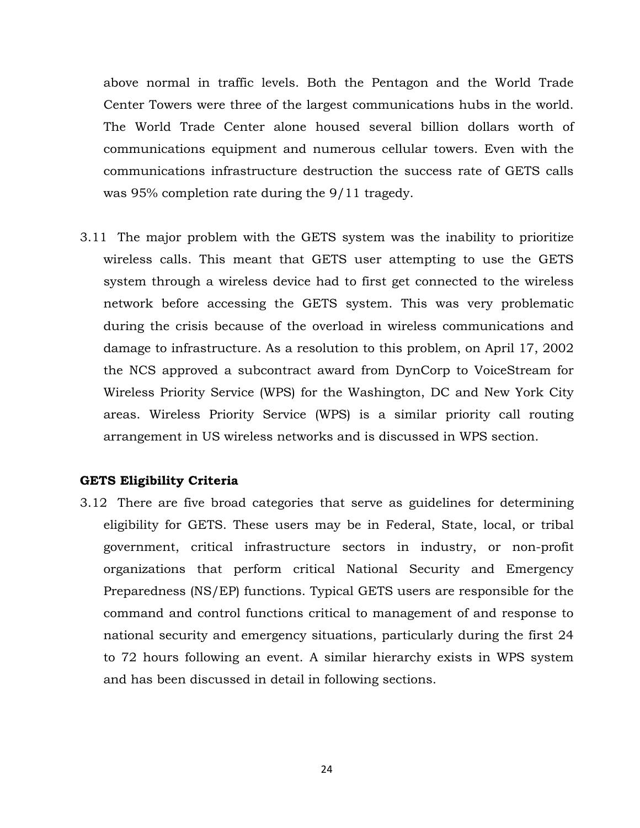above normal in traffic levels. Both the Pentagon and the World Trade Center Towers were three of the largest communications hubs in the world. The World Trade Center alone housed several billion dollars worth of communications equipment and numerous cellular towers. Even with the communications infrastructure destruction the success rate of GETS calls was 95% completion rate during the 9/11 tragedy.

3.11 The major problem with the GETS system was the inability to prioritize wireless calls. This meant that GETS user attempting to use the GETS system through a wireless device had to first get connected to the wireless network before accessing the GETS system. This was very problematic during the crisis because of the overload in wireless communications and damage to infrastructure. As a resolution to this problem, on April 17, 2002 the NCS approved a subcontract award from DynCorp to VoiceStream for Wireless Priority Service (WPS) for the Washington, DC and New York City areas. Wireless Priority Service (WPS) is a similar priority call routing arrangement in US wireless networks and is discussed in WPS section.

### **GETS Eligibility Criteria**

3.12 There are five broad categories that serve as guidelines for determining eligibility for GETS. These users may be in Federal, State, local, or tribal government, critical infrastructure sectors in industry, or non-profit organizations that perform critical National Security and Emergency Preparedness (NS/EP) functions. Typical GETS users are responsible for the command and control functions critical to management of and response to national security and emergency situations, particularly during the first 24 to 72 hours following an event. A similar hierarchy exists in WPS system and has been discussed in detail in following sections.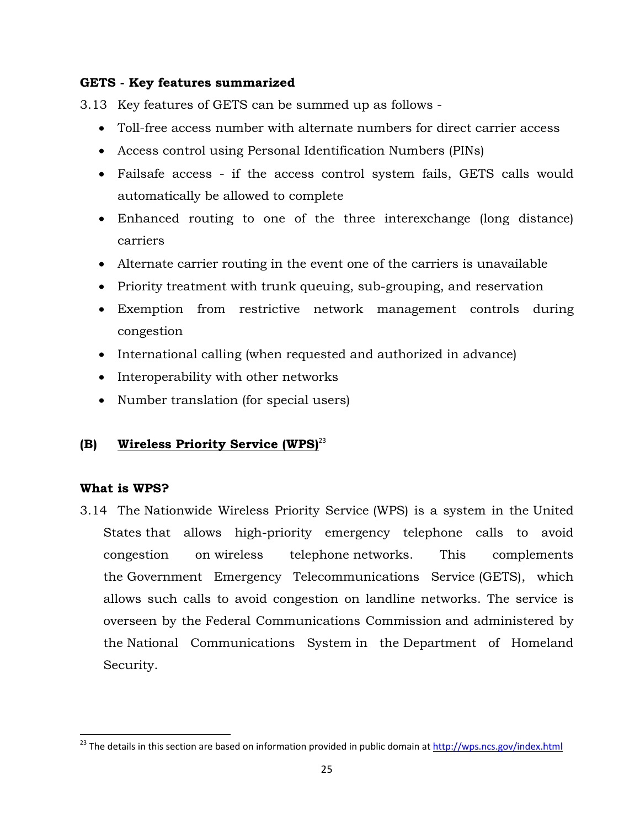# **GETS - Key features summarized**

3.13 Key features of GETS can be summed up as follows -

- Toll-free access number with alternate numbers for direct carrier access
- Access control using Personal Identification Numbers (PINs)
- Failsafe access if the access control system fails, GETS calls would automatically be allowed to complete
- Enhanced routing to one of the three interexchange (long distance) carriers
- Alternate carrier routing in the event one of the carriers is unavailable
- Priority treatment with trunk queuing, sub-grouping, and reservation
- Exemption from restrictive network management controls during congestion
- International calling (when requested and authorized in advance)
- Interoperability with other networks
- Number translation (for special users)

# **(B) Wireless Priority Service (WPS)**<sup>23</sup>

# **What is WPS?**

3.14 The Nationwide Wireless Priority Service (WPS) is a system in the United States that allows high-priority emergency telephone calls to avoid congestion on wireless telephone networks. This complements the Government Emergency Telecommunications Service (GETS), which allows such calls to avoid congestion on landline networks. The service is overseen by the Federal Communications Commission and administered by the National Communications System in the Department of Homeland Security.

<sup>&</sup>lt;sup>23</sup> The details in this section are based on information provided in public domain at http://wps.ncs.gov/index.html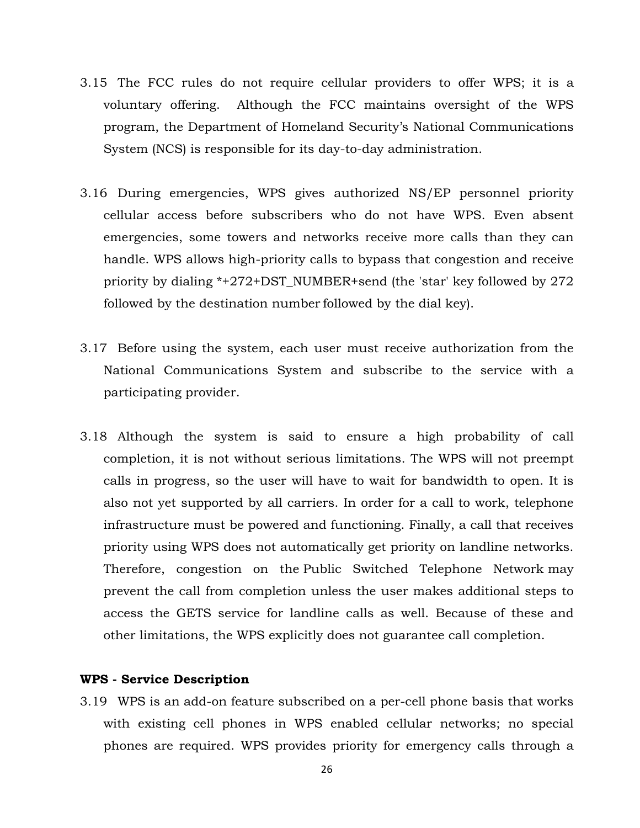- 3.15 The FCC rules do not require cellular providers to offer WPS; it is a voluntary offering. Although the FCC maintains oversight of the WPS program, the Department of Homeland Security's National Communications System (NCS) is responsible for its day-to-day administration.
- 3.16 During emergencies, WPS gives authorized NS/EP personnel priority cellular access before subscribers who do not have WPS. Even absent emergencies, some towers and networks receive more calls than they can handle. WPS allows high-priority calls to bypass that congestion and receive priority by dialing \*+272+DST\_NUMBER+send (the 'star' key followed by 272 followed by the destination number followed by the dial key).
- 3.17 Before using the system, each user must receive authorization from the National Communications System and subscribe to the service with a participating provider.
- 3.18 Although the system is said to ensure a high probability of call completion, it is not without serious limitations. The WPS will not preempt calls in progress, so the user will have to wait for bandwidth to open. It is also not yet supported by all carriers. In order for a call to work, telephone infrastructure must be powered and functioning. Finally, a call that receives priority using WPS does not automatically get priority on landline networks. Therefore, congestion on the Public Switched Telephone Network may prevent the call from completion unless the user makes additional steps to access the GETS service for landline calls as well. Because of these and other limitations, the WPS explicitly does not guarantee call completion.

## **WPS - Service Description**

3.19 WPS is an add-on feature subscribed on a per-cell phone basis that works with existing cell phones in WPS enabled cellular networks; no special phones are required. WPS provides priority for emergency calls through a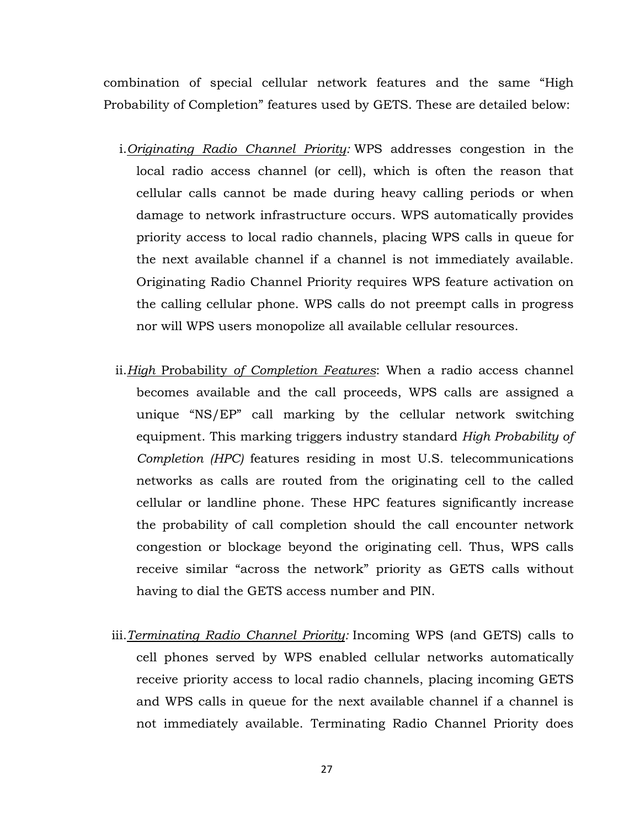combination of special cellular network features and the same "High Probability of Completion" features used by GETS. These are detailed below:

- i.*Originating Radio Channel Priority:* WPS addresses congestion in the local radio access channel (or cell), which is often the reason that cellular calls cannot be made during heavy calling periods or when damage to network infrastructure occurs. WPS automatically provides priority access to local radio channels, placing WPS calls in queue for the next available channel if a channel is not immediately available. Originating Radio Channel Priority requires WPS feature activation on the calling cellular phone. WPS calls do not preempt calls in progress nor will WPS users monopolize all available cellular resources.
- ii.*High* Probability *of Completion Features*: When a radio access channel becomes available and the call proceeds, WPS calls are assigned a unique "NS/EP" call marking by the cellular network switching equipment. This marking triggers industry standard *High Probability of Completion (HPC)* features residing in most U.S. telecommunications networks as calls are routed from the originating cell to the called cellular or landline phone. These HPC features significantly increase the probability of call completion should the call encounter network congestion or blockage beyond the originating cell. Thus, WPS calls receive similar "across the network" priority as GETS calls without having to dial the GETS access number and PIN.
- iii.*Terminating Radio Channel Priority:* Incoming WPS (and GETS) calls to cell phones served by WPS enabled cellular networks automatically receive priority access to local radio channels, placing incoming GETS and WPS calls in queue for the next available channel if a channel is not immediately available. Terminating Radio Channel Priority does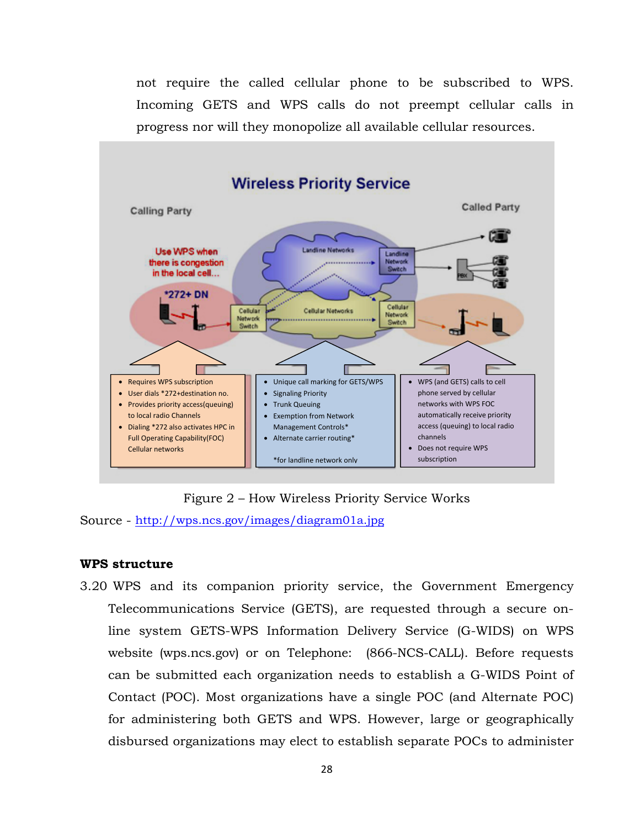not require the called cellular phone to be subscribed to WPS. Incoming GETS and WPS calls do not preempt cellular calls in progress nor will they monopolize all available cellular resources.



Figure 2 – How Wireless Priority Service Works

Source - http://wps.ncs.gov/images/diagram01a.jpg

## **WPS structure**

3.20 WPS and its companion priority service, the Government Emergency Telecommunications Service (GETS), are requested through a secure online system GETS-WPS Information Delivery Service (G-WIDS) on WPS website (wps.ncs.gov) or on Telephone: (866-NCS-CALL). Before requests can be submitted each organization needs to establish a G-WIDS Point of Contact (POC). Most organizations have a single POC (and Alternate POC) for administering both GETS and WPS. However, large or geographically disbursed organizations may elect to establish separate POCs to administer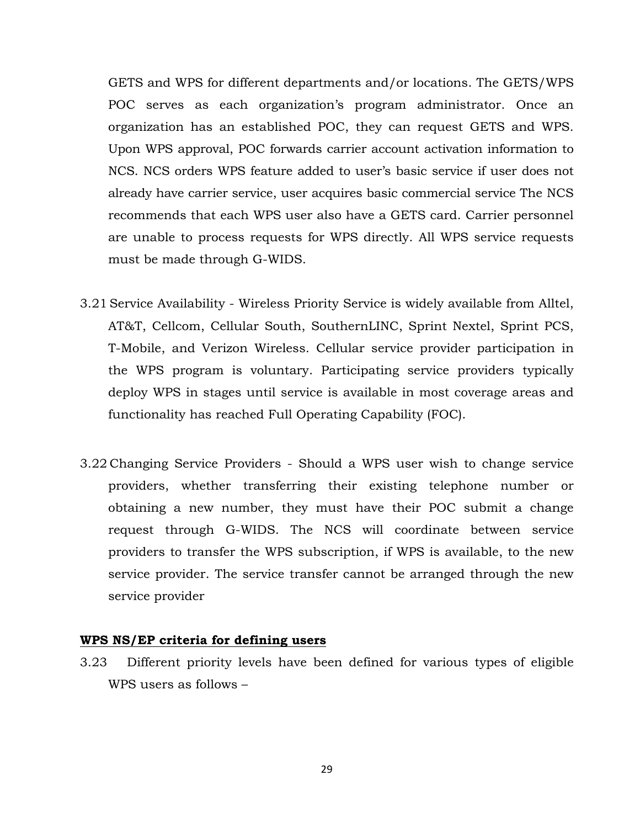GETS and WPS for different departments and/or locations. The GETS/WPS POC serves as each organization's program administrator. Once an organization has an established POC, they can request GETS and WPS. Upon WPS approval, POC forwards carrier account activation information to NCS. NCS orders WPS feature added to user's basic service if user does not already have carrier service, user acquires basic commercial service The NCS recommends that each WPS user also have a GETS card. Carrier personnel are unable to process requests for WPS directly. All WPS service requests must be made through G-WIDS.

- 3.21 Service Availability Wireless Priority Service is widely available from Alltel, AT&T, Cellcom, Cellular South, SouthernLINC, Sprint Nextel, Sprint PCS, T-Mobile, and Verizon Wireless. Cellular service provider participation in the WPS program is voluntary. Participating service providers typically deploy WPS in stages until service is available in most coverage areas and functionality has reached Full Operating Capability (FOC).
- 3.22 Changing Service Providers Should a WPS user wish to change service providers, whether transferring their existing telephone number or obtaining a new number, they must have their POC submit a change request through G-WIDS. The NCS will coordinate between service providers to transfer the WPS subscription, if WPS is available, to the new service provider. The service transfer cannot be arranged through the new service provider

#### **WPS NS/EP criteria for defining users**

3.23 Different priority levels have been defined for various types of eligible WPS users as follows –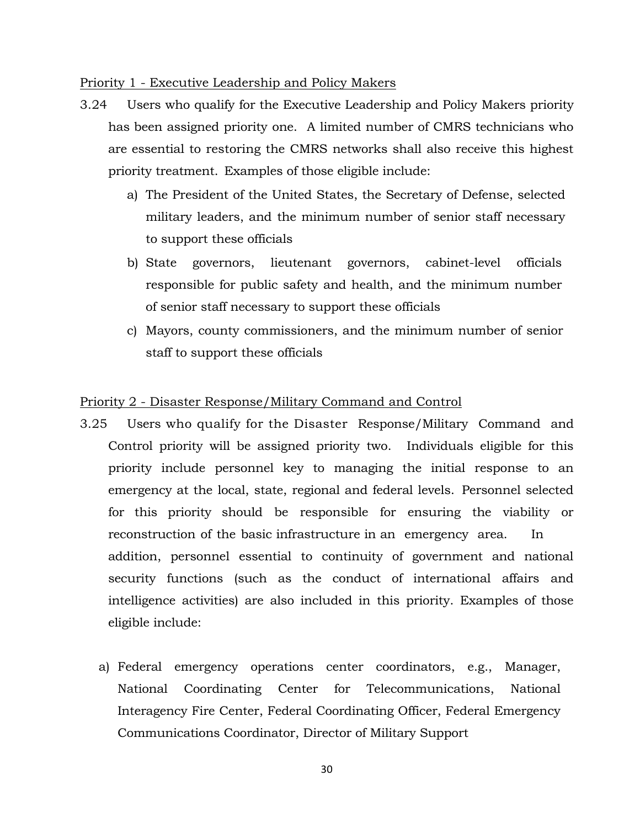#### Priority 1 - Executive Leadership and Policy Makers

- 3.24 Users who qualify for the Executive Leadership and Policy Makers priority has been assigned priority one. A limited number of CMRS technicians who are essential to restoring the CMRS networks shall also receive this highest priority treatment. Examples of those eligible include:
	- a) The President of the United States, the Secretary of Defense, selected military leaders, and the minimum number of senior staff necessary to support these officials
	- b) State governors, lieutenant governors, cabinet-level officials responsible for public safety and health, and the minimum number of senior staff necessary to support these officials
	- c) Mayors, county commissioners, and the minimum number of senior staff to support these officials

### Priority 2 - Disaster Response/Military Command and Control

- 3.25 Users who qualify for the Disaster Response/Military Command and Control priority will be assigned priority two. Individuals eligible for this priority include personnel key to managing the initial response to an emergency at the local, state, regional and federal levels. Personnel selected for this priority should be responsible for ensuring the viability or reconstruction of the basic infrastructure in an emergency area. In addition, personnel essential to continuity of government and national security functions (such as the conduct of international affairs and intelligence activities) are also included in this priority. Examples of those eligible include:
	- a) Federal emergency operations center coordinators, e.g., Manager, National Coordinating Center for Telecommunications, National Interagency Fire Center, Federal Coordinating Officer, Federal Emergency Communications Coordinator, Director of Military Support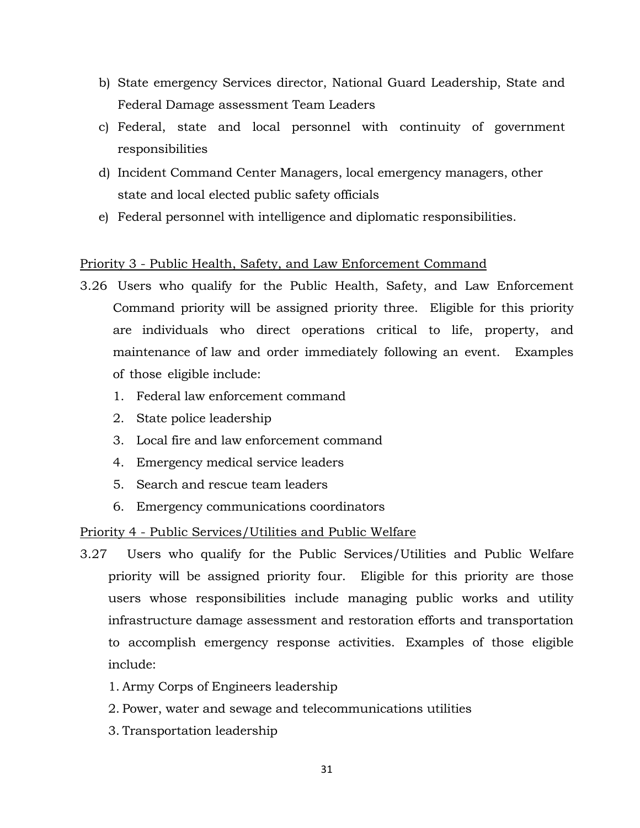- b) State emergency Services director, National Guard Leadership, State and Federal Damage assessment Team Leaders
- c) Federal, state and local personnel with continuity of government responsibilities
- d) Incident Command Center Managers, local emergency managers, other state and local elected public safety officials
- e) Federal personnel with intelligence and diplomatic responsibilities.

# Priority 3 - Public Health, Safety, and Law Enforcement Command

- 3.26 Users who qualify for the Public Health, Safety, and Law Enforcement Command priority will be assigned priority three. Eligible for this priority are individuals who direct operations critical to life, property, and maintenance of law and order immediately following an event. Examples of those eligible include:
	- 1. Federal law enforcement command
	- 2. State police leadership
	- 3. Local fire and law enforcement command
	- 4. Emergency medical service leaders
	- 5. Search and rescue team leaders
	- 6. Emergency communications coordinators

# Priority 4 - Public Services/Utilities and Public Welfare

- 3.27 Users who qualify for the Public Services/Utilities and Public Welfare priority will be assigned priority four. Eligible for this priority are those users whose responsibilities include managing public works and utility infrastructure damage assessment and restoration efforts and transportation to accomplish emergency response activities. Examples of those eligible include:
	- 1. Army Corps of Engineers leadership
	- 2. Power, water and sewage and telecommunications utilities
	- 3. Transportation leadership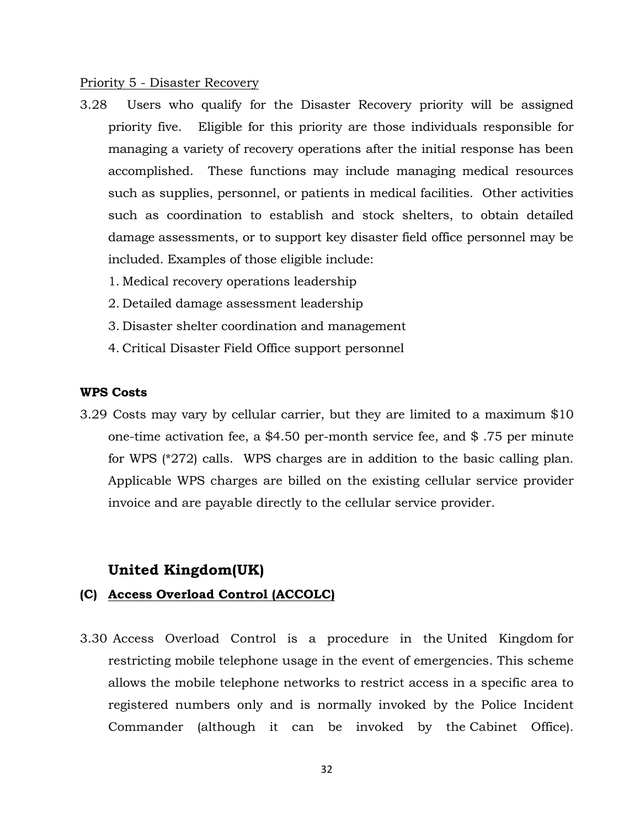#### Priority 5 - Disaster Recovery

- 3.28 Users who qualify for the Disaster Recovery priority will be assigned priority five. Eligible for this priority are those individuals responsible for managing a variety of recovery operations after the initial response has been accomplished. These functions may include managing medical resources such as supplies, personnel, or patients in medical facilities. Other activities such as coordination to establish and stock shelters, to obtain detailed damage assessments, or to support key disaster field office personnel may be included. Examples of those eligible include:
	- 1. Medical recovery operations leadership
	- 2. Detailed damage assessment leadership
	- 3. Disaster shelter coordination and management
	- 4. Critical Disaster Field Office support personnel

## **WPS Costs**

3.29 Costs may vary by cellular carrier, but they are limited to a maximum \$10 one-time activation fee, a \$4.50 per-month service fee, and \$ .75 per minute for WPS (\*272) calls. WPS charges are in addition to the basic calling plan. Applicable WPS charges are billed on the existing cellular service provider invoice and are payable directly to the cellular service provider.

# **United Kingdom(UK)**

# **(C) Access Overload Control (ACCOLC)**

3.30 Access Overload Control is a procedure in the United Kingdom for restricting mobile telephone usage in the event of emergencies. This scheme allows the mobile telephone networks to restrict access in a specific area to registered numbers only and is normally invoked by the Police Incident Commander (although it can be invoked by the Cabinet Office).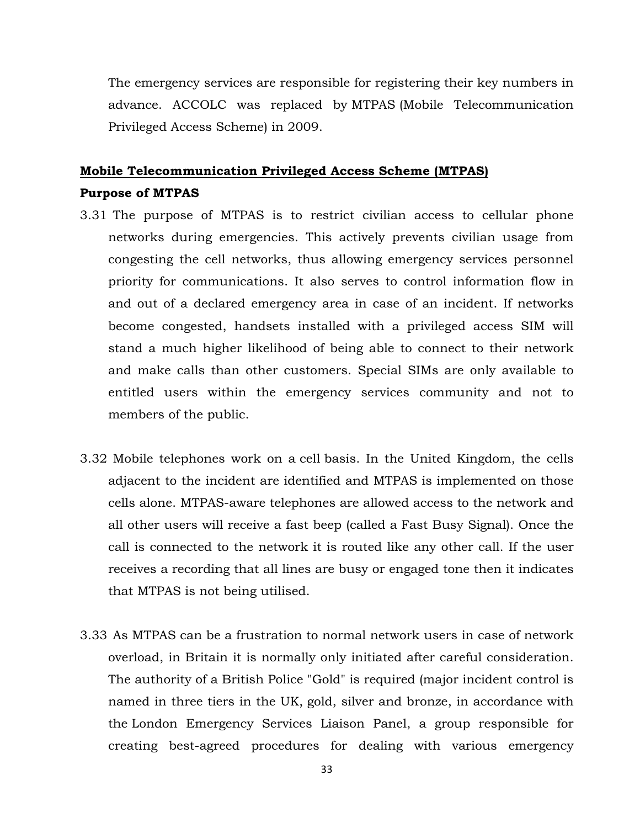The emergency services are responsible for registering their key numbers in advance. ACCOLC was replaced by MTPAS (Mobile Telecommunication Privileged Access Scheme) in 2009.

# **Mobile Telecommunication Privileged Access Scheme (MTPAS) Purpose of MTPAS**

- 3.31 The purpose of MTPAS is to restrict civilian access to cellular phone networks during emergencies. This actively prevents civilian usage from congesting the cell networks, thus allowing emergency services personnel priority for communications. It also serves to control information flow in and out of a declared emergency area in case of an incident. If networks become congested, handsets installed with a privileged access SIM will stand a much higher likelihood of being able to connect to their network and make calls than other customers. Special SIMs are only available to entitled users within the emergency services community and not to members of the public.
- 3.32 Mobile telephones work on a cell basis. In the United Kingdom, the cells adjacent to the incident are identified and MTPAS is implemented on those cells alone. MTPAS-aware telephones are allowed access to the network and all other users will receive a fast beep (called a Fast Busy Signal). Once the call is connected to the network it is routed like any other call. If the user receives a recording that all lines are busy or engaged tone then it indicates that MTPAS is not being utilised.
- 3.33 As MTPAS can be a frustration to normal network users in case of network overload, in Britain it is normally only initiated after careful consideration. The authority of a British Police "Gold" is required (major incident control is named in three tiers in the UK, gold, silver and bronze, in accordance with the London Emergency Services Liaison Panel, a group responsible for creating best-agreed procedures for dealing with various emergency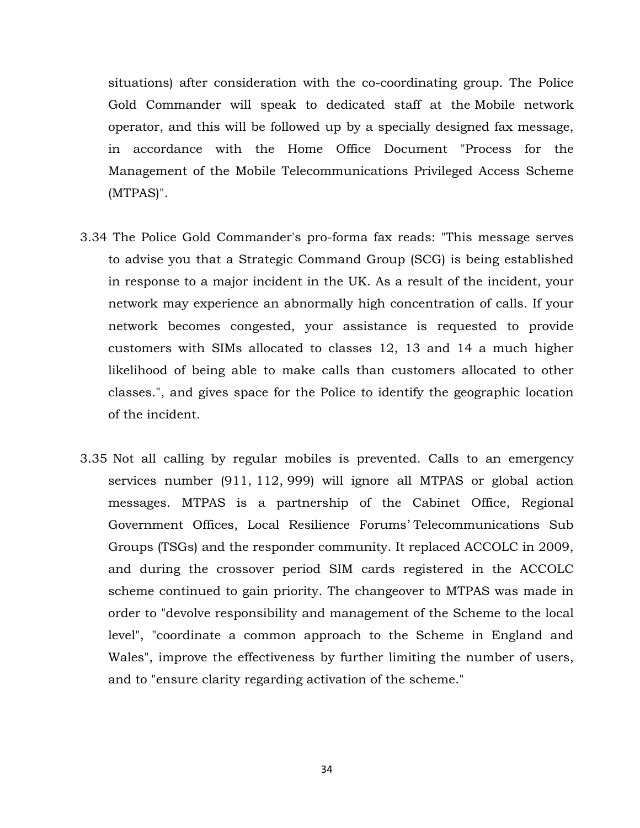situations) after consideration with the co-coordinating group. The Police Gold Commander will speak to dedicated staff at the Mobile network operator, and this will be followed up by a specially designed fax message, in accordance with the Home Office Document "Process for the Management of the Mobile Telecommunications Privileged Access Scheme (MTPAS)".

- 3.34 The Police Gold Commander's pro-forma fax reads: "This message serves to advise you that a Strategic Command Group (SCG) is being established in response to a major incident in the UK. As a result of the incident, your network may experience an abnormally high concentration of calls. If your network becomes congested, your assistance is requested to provide customers with SIMs allocated to classes 12, 13 and 14 a much higher likelihood of being able to make calls than customers allocated to other classes.", and gives space for the Police to identify the geographic location of the incident.
- 3.35 Not all calling by regular mobiles is prevented. Calls to an emergency services number (911, 112, 999) will ignore all MTPAS or global action messages. MTPAS is a partnership of the Cabinet Office, Regional Government Offices, Local Resilience Forums' Telecommunications Sub Groups (TSGs) and the responder community. It replaced ACCOLC in 2009, and during the crossover period SIM cards registered in the ACCOLC scheme continued to gain priority. The changeover to MTPAS was made in order to "devolve responsibility and management of the Scheme to the local level", "coordinate a common approach to the Scheme in England and Wales", improve the effectiveness by further limiting the number of users, and to "ensure clarity regarding activation of the scheme."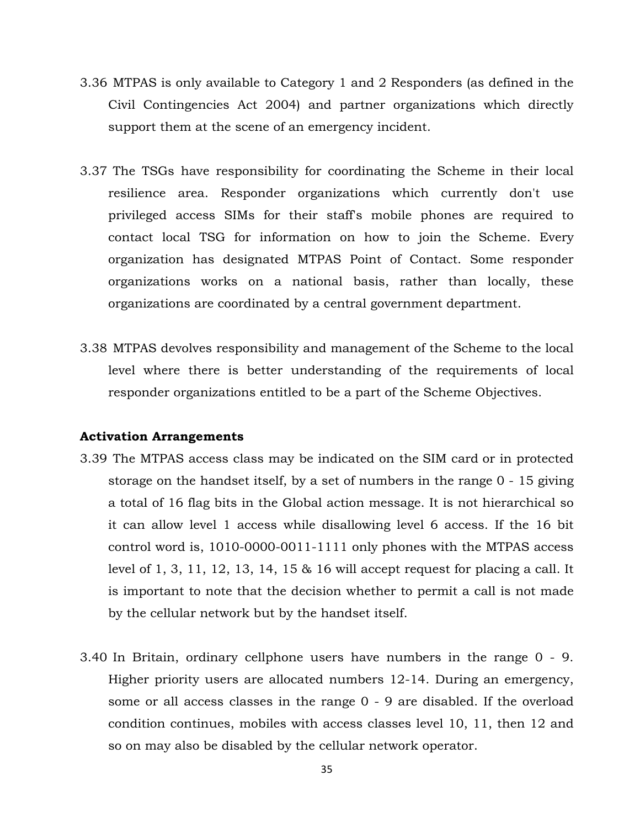- 3.36 MTPAS is only available to Category 1 and 2 Responders (as defined in the Civil Contingencies Act 2004) and partner organizations which directly support them at the scene of an emergency incident.
- 3.37 The TSGs have responsibility for coordinating the Scheme in their local resilience area. Responder organizations which currently don't use privileged access SIMs for their staff's mobile phones are required to contact local TSG for information on how to join the Scheme. Every organization has designated MTPAS Point of Contact. Some responder organizations works on a national basis, rather than locally, these organizations are coordinated by a central government department.
- 3.38 MTPAS devolves responsibility and management of the Scheme to the local level where there is better understanding of the requirements of local responder organizations entitled to be a part of the Scheme Objectives.

#### **Activation Arrangements**

- 3.39 The MTPAS access class may be indicated on the SIM card or in protected storage on the handset itself, by a set of numbers in the range 0 - 15 giving a total of 16 flag bits in the Global action message. It is not hierarchical so it can allow level 1 access while disallowing level 6 access. If the 16 bit control word is, 1010-0000-0011-1111 only phones with the MTPAS access level of 1, 3, 11, 12, 13, 14, 15 & 16 will accept request for placing a call. It is important to note that the decision whether to permit a call is not made by the cellular network but by the handset itself.
- 3.40 In Britain, ordinary cellphone users have numbers in the range 0 9. Higher priority users are allocated numbers 12-14. During an emergency, some or all access classes in the range 0 - 9 are disabled. If the overload condition continues, mobiles with access classes level 10, 11, then 12 and so on may also be disabled by the cellular network operator.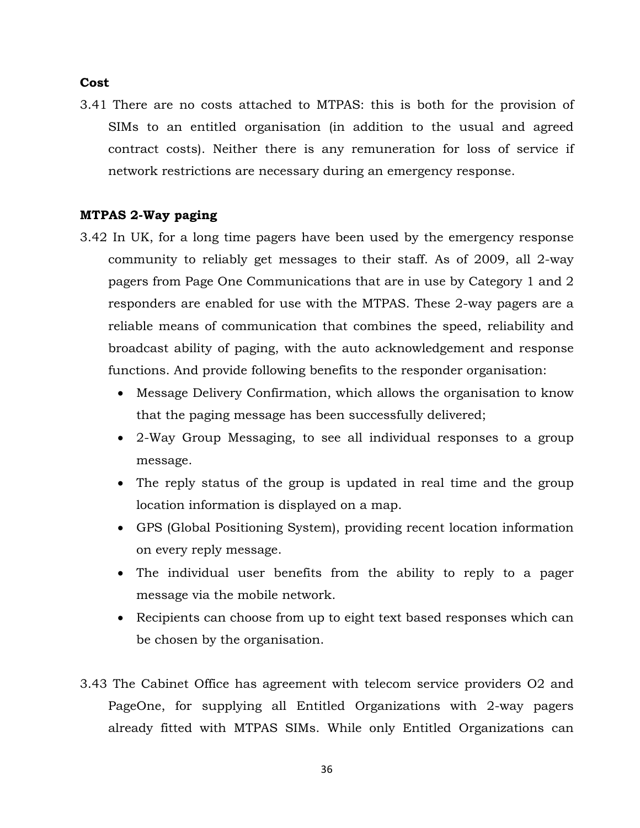#### **Cost**

3.41 There are no costs attached to MTPAS: this is both for the provision of SIMs to an entitled organisation (in addition to the usual and agreed contract costs). Neither there is any remuneration for loss of service if network restrictions are necessary during an emergency response.

### **MTPAS 2-Way paging**

- 3.42 In UK, for a long time pagers have been used by the emergency response community to reliably get messages to their staff. As of 2009, all 2-way pagers from Page One Communications that are in use by Category 1 and 2 responders are enabled for use with the MTPAS. These 2-way pagers are a reliable means of communication that combines the speed, reliability and broadcast ability of paging, with the auto acknowledgement and response functions. And provide following benefits to the responder organisation:
	- Message Delivery Confirmation, which allows the organisation to know that the paging message has been successfully delivered;
	- 2-Way Group Messaging, to see all individual responses to a group message.
	- The reply status of the group is updated in real time and the group location information is displayed on a map.
	- GPS (Global Positioning System), providing recent location information on every reply message.
	- The individual user benefits from the ability to reply to a pager message via the mobile network.
	- Recipients can choose from up to eight text based responses which can be chosen by the organisation.
- 3.43 The Cabinet Office has agreement with telecom service providers O2 and PageOne, for supplying all Entitled Organizations with 2-way pagers already fitted with MTPAS SIMs. While only Entitled Organizations can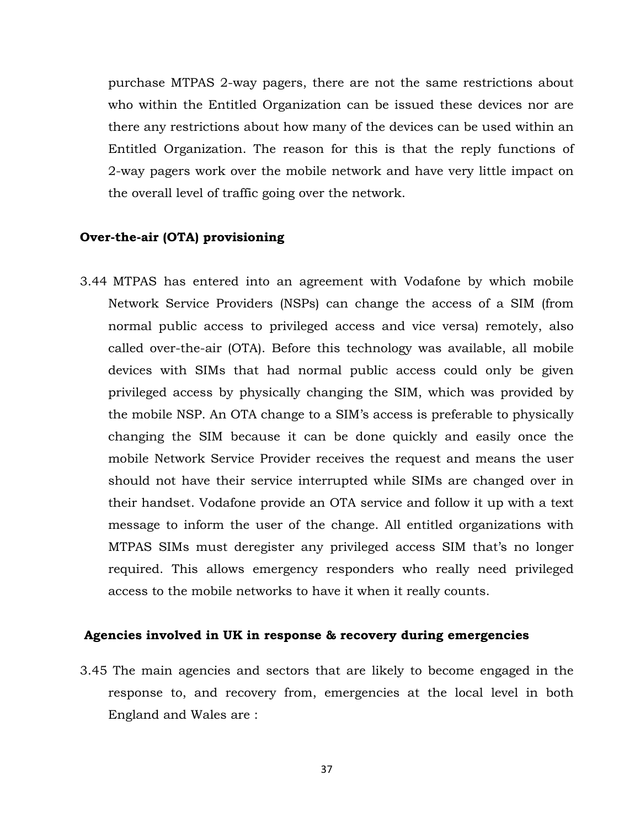purchase MTPAS 2-way pagers, there are not the same restrictions about who within the Entitled Organization can be issued these devices nor are there any restrictions about how many of the devices can be used within an Entitled Organization. The reason for this is that the reply functions of 2-way pagers work over the mobile network and have very little impact on the overall level of traffic going over the network.

### **Over-the-air (OTA) provisioning**

3.44 MTPAS has entered into an agreement with Vodafone by which mobile Network Service Providers (NSPs) can change the access of a SIM (from normal public access to privileged access and vice versa) remotely, also called over-the-air (OTA). Before this technology was available, all mobile devices with SIMs that had normal public access could only be given privileged access by physically changing the SIM, which was provided by the mobile NSP. An OTA change to a SIM's access is preferable to physically changing the SIM because it can be done quickly and easily once the mobile Network Service Provider receives the request and means the user should not have their service interrupted while SIMs are changed over in their handset. Vodafone provide an OTA service and follow it up with a text message to inform the user of the change. All entitled organizations with MTPAS SIMs must deregister any privileged access SIM that's no longer required. This allows emergency responders who really need privileged access to the mobile networks to have it when it really counts.

### **Agencies involved in UK in response & recovery during emergencies**

3.45 The main agencies and sectors that are likely to become engaged in the response to, and recovery from, emergencies at the local level in both England and Wales are :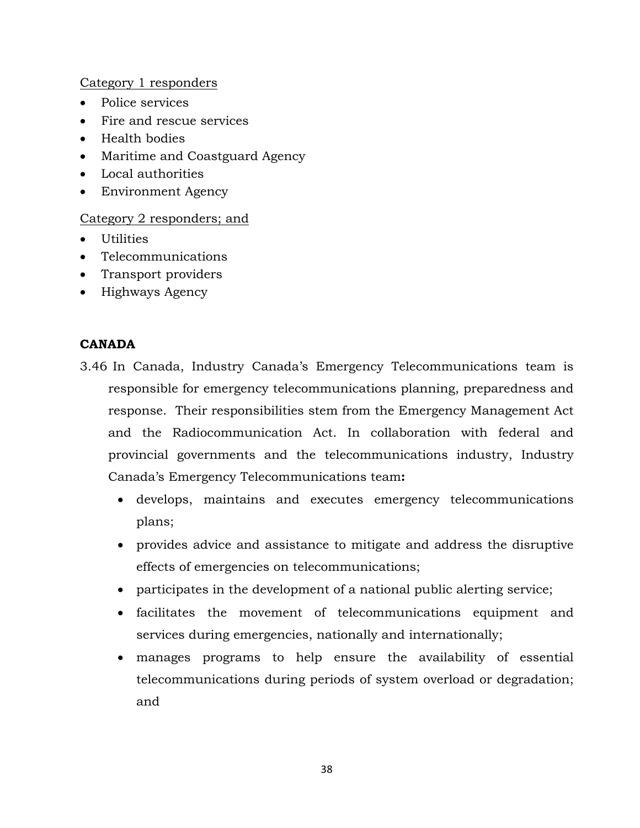# Category 1 responders

- Police services
- Fire and rescue services
- Health bodies
- Maritime and Coastguard Agency
- Local authorities
- Environment Agency

# Category 2 responders; and

- Utilities
- Telecommunications
- Transport providers
- Highways Agency

# **CANADA**

- 3.46 In Canada, Industry Canada's Emergency Telecommunications team is responsible for emergency telecommunications planning, preparedness and response. Their responsibilities stem from the Emergency Management Act and the Radiocommunication Act. In collaboration with federal and provincial governments and the telecommunications industry, Industry Canada's Emergency Telecommunications team**:**
	- develops, maintains and executes emergency telecommunications plans;
	- provides advice and assistance to mitigate and address the disruptive effects of emergencies on telecommunications;
	- participates in the development of a national public alerting service;
	- facilitates the movement of telecommunications equipment and services during emergencies, nationally and internationally;
	- manages programs to help ensure the availability of essential telecommunications during periods of system overload or degradation; and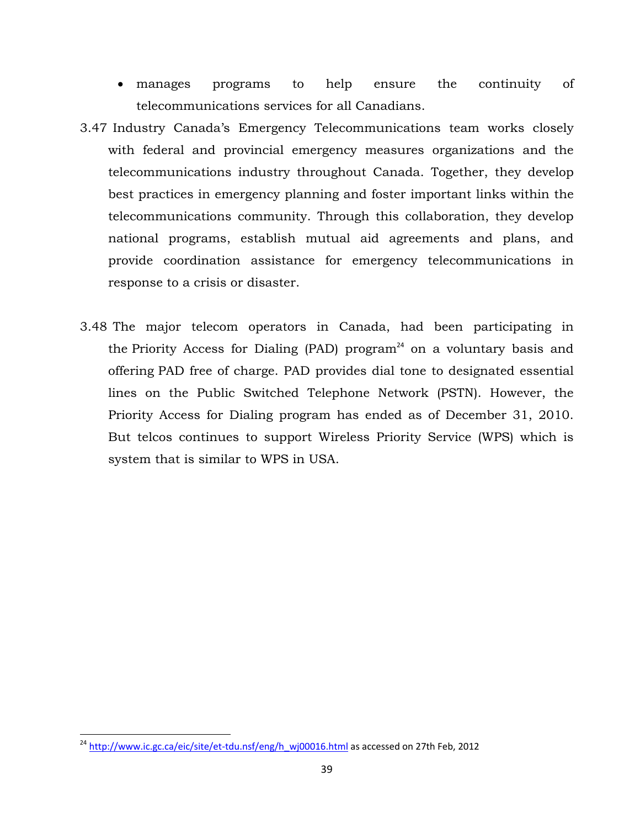- manages programs to help ensure the continuity of telecommunications services for all Canadians.
- 3.47 Industry Canada's Emergency Telecommunications team works closely with federal and provincial emergency measures organizations and the telecommunications industry throughout Canada. Together, they develop best practices in emergency planning and foster important links within the telecommunications community. Through this collaboration, they develop national programs, establish mutual aid agreements and plans, and provide coordination assistance for emergency telecommunications in response to a crisis or disaster.
- 3.48 The major telecom operators in Canada, had been participating in the Priority Access for Dialing (PAD) program<sup>24</sup> on a voluntary basis and offering PAD free of charge. PAD provides dial tone to designated essential lines on the Public Switched Telephone Network (PSTN). However, the Priority Access for Dialing program has ended as of December 31, 2010. But telcos continues to support Wireless Priority Service (WPS) which is system that is similar to WPS in USA.

 $24$  http://www.ic.gc.ca/eic/site/et-tdu.nsf/eng/h\_wj00016.html as accessed on 27th Feb, 2012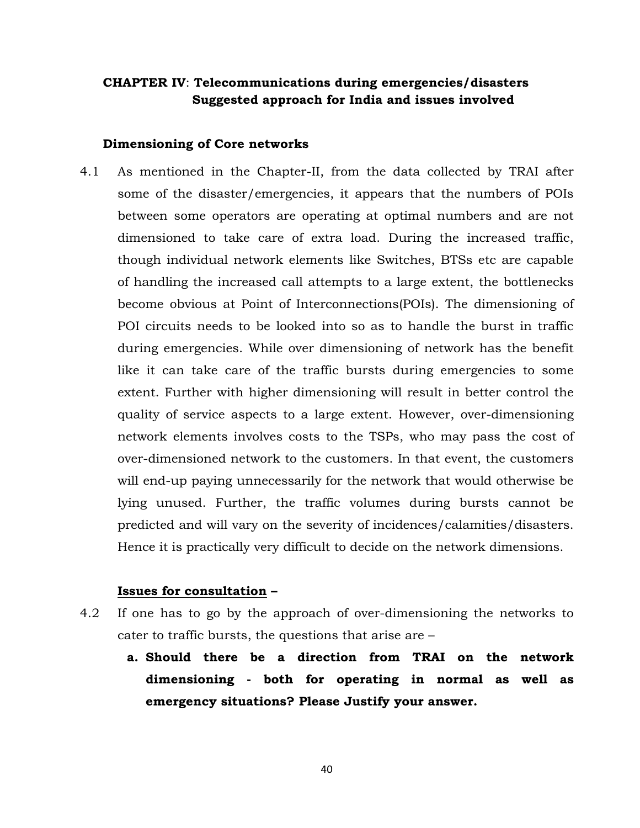# **CHAPTER IV**: **Telecommunications during emergencies/disasters Suggested approach for India and issues involved**

#### **Dimensioning of Core networks**

4.1 As mentioned in the Chapter-II, from the data collected by TRAI after some of the disaster/emergencies, it appears that the numbers of POIs between some operators are operating at optimal numbers and are not dimensioned to take care of extra load. During the increased traffic, though individual network elements like Switches, BTSs etc are capable of handling the increased call attempts to a large extent, the bottlenecks become obvious at Point of Interconnections(POIs). The dimensioning of POI circuits needs to be looked into so as to handle the burst in traffic during emergencies. While over dimensioning of network has the benefit like it can take care of the traffic bursts during emergencies to some extent. Further with higher dimensioning will result in better control the quality of service aspects to a large extent. However, over-dimensioning network elements involves costs to the TSPs, who may pass the cost of over-dimensioned network to the customers. In that event, the customers will end-up paying unnecessarily for the network that would otherwise be lying unused. Further, the traffic volumes during bursts cannot be predicted and will vary on the severity of incidences/calamities/disasters. Hence it is practically very difficult to decide on the network dimensions.

#### **Issues for consultation –**

- 4.2 If one has to go by the approach of over-dimensioning the networks to cater to traffic bursts, the questions that arise are –
	- **a. Should there be a direction from TRAI on the network dimensioning - both for operating in normal as well as emergency situations? Please Justify your answer.**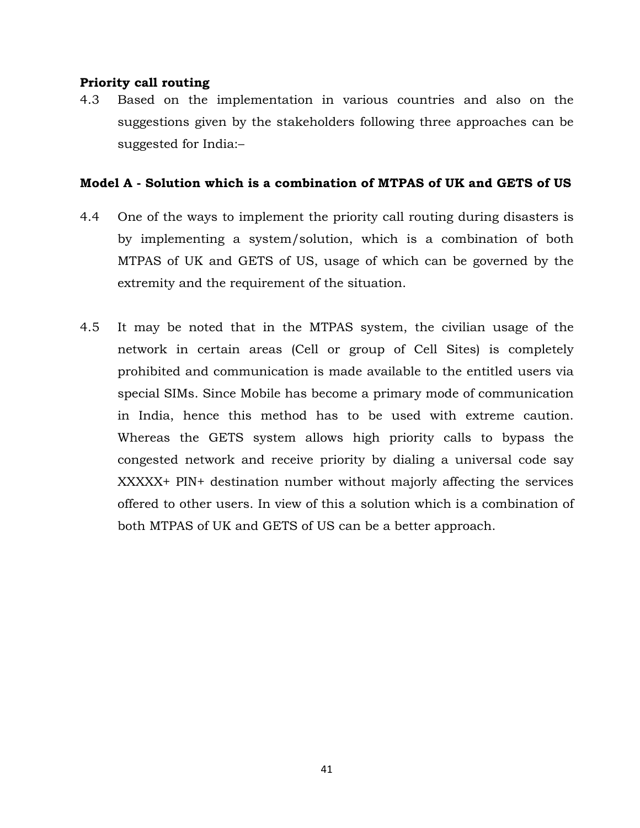## **Priority call routing**

4.3 Based on the implementation in various countries and also on the suggestions given by the stakeholders following three approaches can be suggested for India:–

# **Model A - Solution which is a combination of MTPAS of UK and GETS of US**

- 4.4 One of the ways to implement the priority call routing during disasters is by implementing a system/solution, which is a combination of both MTPAS of UK and GETS of US, usage of which can be governed by the extremity and the requirement of the situation.
- 4.5 It may be noted that in the MTPAS system, the civilian usage of the network in certain areas (Cell or group of Cell Sites) is completely prohibited and communication is made available to the entitled users via special SIMs. Since Mobile has become a primary mode of communication in India, hence this method has to be used with extreme caution. Whereas the GETS system allows high priority calls to bypass the congested network and receive priority by dialing a universal code say XXXXX+ PIN+ destination number without majorly affecting the services offered to other users. In view of this a solution which is a combination of both MTPAS of UK and GETS of US can be a better approach.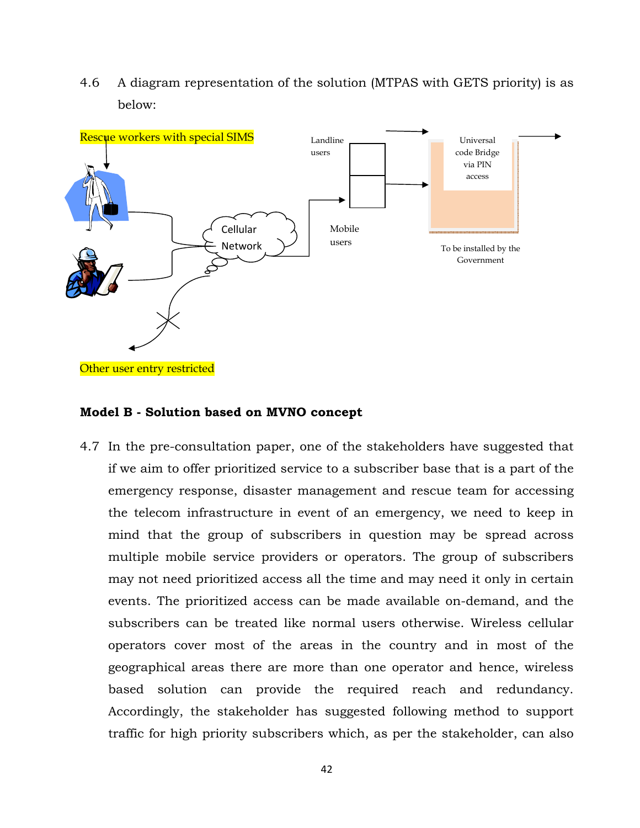4.6 A diagram representation of the solution (MTPAS with GETS priority) is as below:



#### **Model B - Solution based on MVNO concept**

4.7 In the pre-consultation paper, one of the stakeholders have suggested that if we aim to offer prioritized service to a subscriber base that is a part of the emergency response, disaster management and rescue team for accessing the telecom infrastructure in event of an emergency, we need to keep in mind that the group of subscribers in question may be spread across multiple mobile service providers or operators. The group of subscribers may not need prioritized access all the time and may need it only in certain events. The prioritized access can be made available on-demand, and the subscribers can be treated like normal users otherwise. Wireless cellular operators cover most of the areas in the country and in most of the geographical areas there are more than one operator and hence, wireless based solution can provide the required reach and redundancy. Accordingly, the stakeholder has suggested following method to support traffic for high priority subscribers which, as per the stakeholder, can also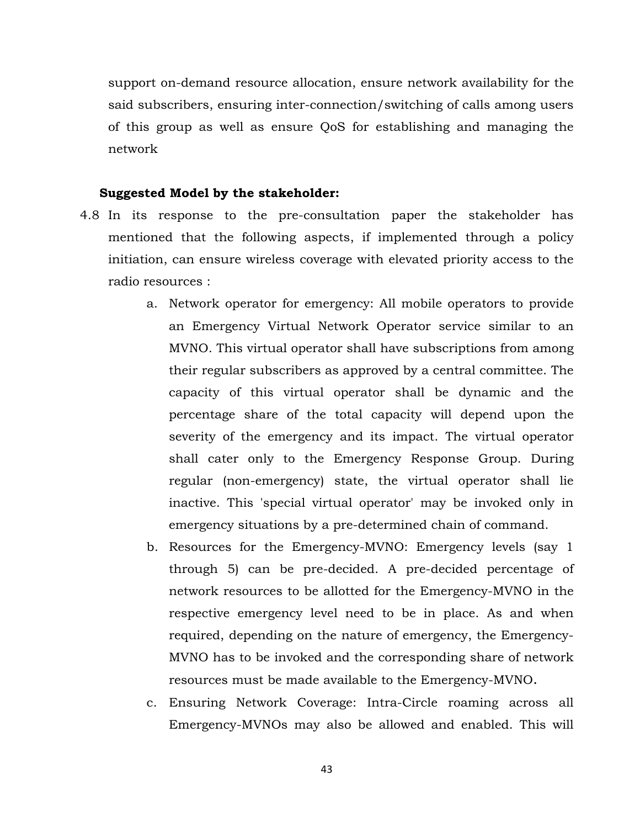support on-demand resource allocation, ensure network availability for the said subscribers, ensuring inter-connection/switching of calls among users of this group as well as ensure QoS for establishing and managing the network

### **Suggested Model by the stakeholder:**

- 4.8 In its response to the pre-consultation paper the stakeholder has mentioned that the following aspects, if implemented through a policy initiation, can ensure wireless coverage with elevated priority access to the radio resources :
	- a. Network operator for emergency: All mobile operators to provide an Emergency Virtual Network Operator service similar to an MVNO. This virtual operator shall have subscriptions from among their regular subscribers as approved by a central committee. The capacity of this virtual operator shall be dynamic and the percentage share of the total capacity will depend upon the severity of the emergency and its impact. The virtual operator shall cater only to the Emergency Response Group. During regular (non-emergency) state, the virtual operator shall lie inactive. This 'special virtual operator' may be invoked only in emergency situations by a pre-determined chain of command.
	- b. Resources for the Emergency-MVNO: Emergency levels (say 1 through 5) can be pre-decided. A pre-decided percentage of network resources to be allotted for the Emergency-MVNO in the respective emergency level need to be in place. As and when required, depending on the nature of emergency, the Emergency-MVNO has to be invoked and the corresponding share of network resources must be made available to the Emergency-MVNO.
	- c. Ensuring Network Coverage: Intra-Circle roaming across all Emergency-MVNOs may also be allowed and enabled. This will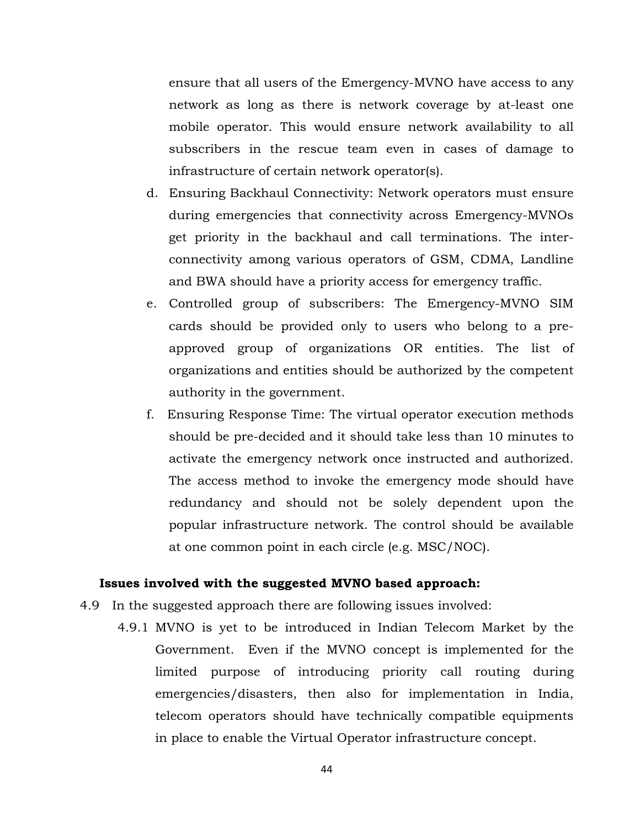ensure that all users of the Emergency-MVNO have access to any network as long as there is network coverage by at-least one mobile operator. This would ensure network availability to all subscribers in the rescue team even in cases of damage to infrastructure of certain network operator(s).

- d. Ensuring Backhaul Connectivity: Network operators must ensure during emergencies that connectivity across Emergency-MVNOs get priority in the backhaul and call terminations. The interconnectivity among various operators of GSM, CDMA, Landline and BWA should have a priority access for emergency traffic.
- e. Controlled group of subscribers: The Emergency-MVNO SIM cards should be provided only to users who belong to a preapproved group of organizations OR entities. The list of organizations and entities should be authorized by the competent authority in the government.
- f. Ensuring Response Time: The virtual operator execution methods should be pre-decided and it should take less than 10 minutes to activate the emergency network once instructed and authorized. The access method to invoke the emergency mode should have redundancy and should not be solely dependent upon the popular infrastructure network. The control should be available at one common point in each circle (e.g. MSC/NOC).

### **Issues involved with the suggested MVNO based approach:**

- 4.9 In the suggested approach there are following issues involved:
	- 4.9.1 MVNO is yet to be introduced in Indian Telecom Market by the Government. Even if the MVNO concept is implemented for the limited purpose of introducing priority call routing during emergencies/disasters, then also for implementation in India, telecom operators should have technically compatible equipments in place to enable the Virtual Operator infrastructure concept.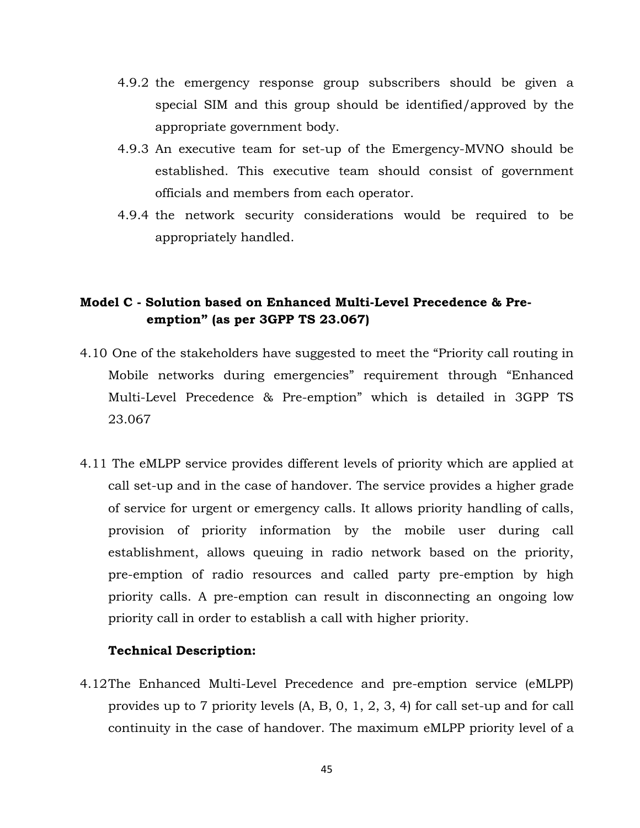- 4.9.2 the emergency response group subscribers should be given a special SIM and this group should be identified/approved by the appropriate government body.
- 4.9.3 An executive team for set-up of the Emergency-MVNO should be established. This executive team should consist of government officials and members from each operator.
- 4.9.4 the network security considerations would be required to be appropriately handled.

# **Model C - Solution based on Enhanced Multi-Level Precedence & Preemption" (as per 3GPP TS 23.067)**

- 4.10 One of the stakeholders have suggested to meet the "Priority call routing in Mobile networks during emergencies" requirement through "Enhanced Multi-Level Precedence & Pre-emption" which is detailed in 3GPP TS 23.067
- 4.11 The eMLPP service provides different levels of priority which are applied at call set-up and in the case of handover. The service provides a higher grade of service for urgent or emergency calls. It allows priority handling of calls, provision of priority information by the mobile user during call establishment, allows queuing in radio network based on the priority, pre-emption of radio resources and called party pre-emption by high priority calls. A pre-emption can result in disconnecting an ongoing low priority call in order to establish a call with higher priority.

## **Technical Description:**

4.12The Enhanced Multi-Level Precedence and pre-emption service (eMLPP) provides up to 7 priority levels (A, B, 0, 1, 2, 3, 4) for call set-up and for call continuity in the case of handover. The maximum eMLPP priority level of a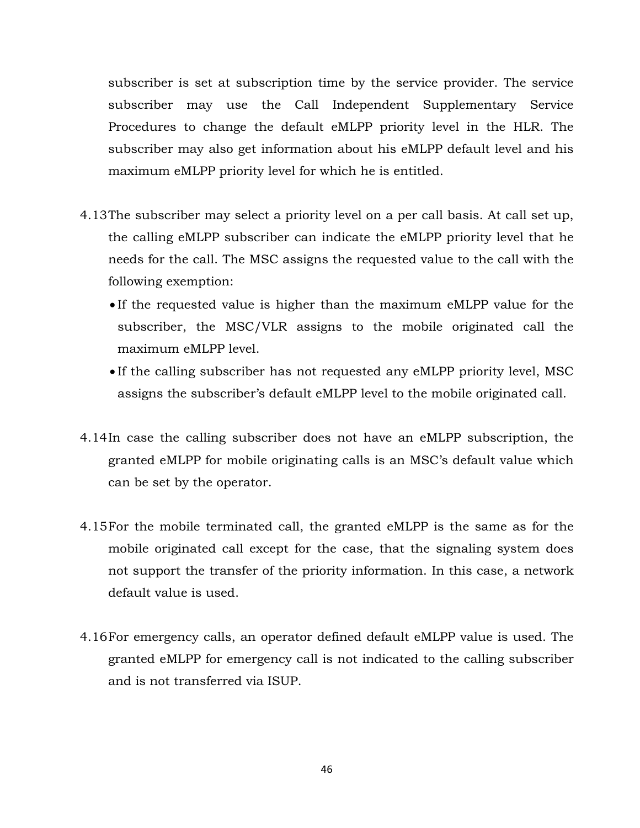subscriber is set at subscription time by the service provider. The service subscriber may use the Call Independent Supplementary Service Procedures to change the default eMLPP priority level in the HLR. The subscriber may also get information about his eMLPP default level and his maximum eMLPP priority level for which he is entitled.

- 4.13The subscriber may select a priority level on a per call basis. At call set up, the calling eMLPP subscriber can indicate the eMLPP priority level that he needs for the call. The MSC assigns the requested value to the call with the following exemption:
	- If the requested value is higher than the maximum eMLPP value for the subscriber, the MSC/VLR assigns to the mobile originated call the maximum eMLPP level.
	- If the calling subscriber has not requested any eMLPP priority level, MSC assigns the subscriber's default eMLPP level to the mobile originated call.
- 4.14In case the calling subscriber does not have an eMLPP subscription, the granted eMLPP for mobile originating calls is an MSC's default value which can be set by the operator.
- 4.15For the mobile terminated call, the granted eMLPP is the same as for the mobile originated call except for the case, that the signaling system does not support the transfer of the priority information. In this case, a network default value is used.
- 4.16For emergency calls, an operator defined default eMLPP value is used. The granted eMLPP for emergency call is not indicated to the calling subscriber and is not transferred via ISUP.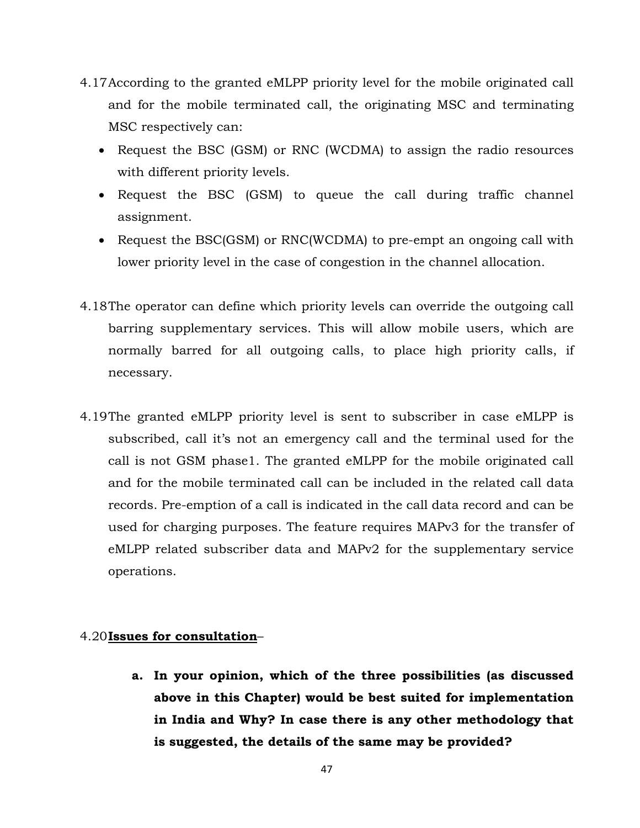- 4.17According to the granted eMLPP priority level for the mobile originated call and for the mobile terminated call, the originating MSC and terminating MSC respectively can:
	- Request the BSC (GSM) or RNC (WCDMA) to assign the radio resources with different priority levels.
	- Request the BSC (GSM) to queue the call during traffic channel assignment.
	- Request the BSC(GSM) or RNC(WCDMA) to pre-empt an ongoing call with lower priority level in the case of congestion in the channel allocation.
- 4.18The operator can define which priority levels can override the outgoing call barring supplementary services. This will allow mobile users, which are normally barred for all outgoing calls, to place high priority calls, if necessary.
- 4.19The granted eMLPP priority level is sent to subscriber in case eMLPP is subscribed, call it's not an emergency call and the terminal used for the call is not GSM phase1. The granted eMLPP for the mobile originated call and for the mobile terminated call can be included in the related call data records. Pre-emption of a call is indicated in the call data record and can be used for charging purposes. The feature requires MAPv3 for the transfer of eMLPP related subscriber data and MAPv2 for the supplementary service operations.

# 4.20**Issues for consultation**–

**a. In your opinion, which of the three possibilities (as discussed above in this Chapter) would be best suited for implementation in India and Why? In case there is any other methodology that is suggested, the details of the same may be provided?**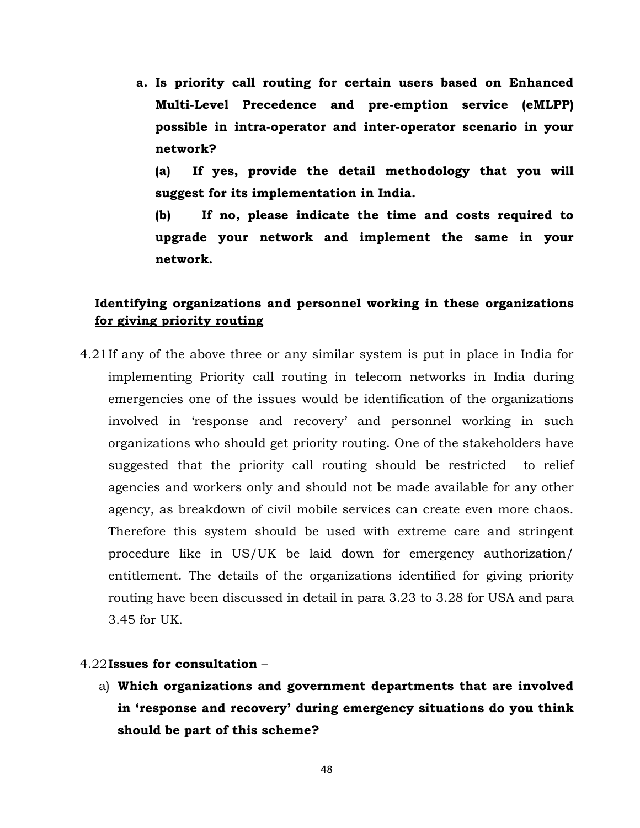**a. Is priority call routing for certain users based on Enhanced Multi-Level Precedence and pre-emption service (eMLPP) possible in intra-operator and inter-operator scenario in your network?** 

**(a) If yes, provide the detail methodology that you will suggest for its implementation in India.** 

**(b) If no, please indicate the time and costs required to upgrade your network and implement the same in your network.** 

# **Identifying organizations and personnel working in these organizations for giving priority routing**

4.21If any of the above three or any similar system is put in place in India for implementing Priority call routing in telecom networks in India during emergencies one of the issues would be identification of the organizations involved in 'response and recovery' and personnel working in such organizations who should get priority routing. One of the stakeholders have suggested that the priority call routing should be restricted to relief agencies and workers only and should not be made available for any other agency, as breakdown of civil mobile services can create even more chaos. Therefore this system should be used with extreme care and stringent procedure like in US/UK be laid down for emergency authorization/ entitlement. The details of the organizations identified for giving priority routing have been discussed in detail in para 3.23 to 3.28 for USA and para 3.45 for UK.

## 4.22**Issues for consultation** –

a) **Which organizations and government departments that are involved in 'response and recovery' during emergency situations do you think should be part of this scheme?**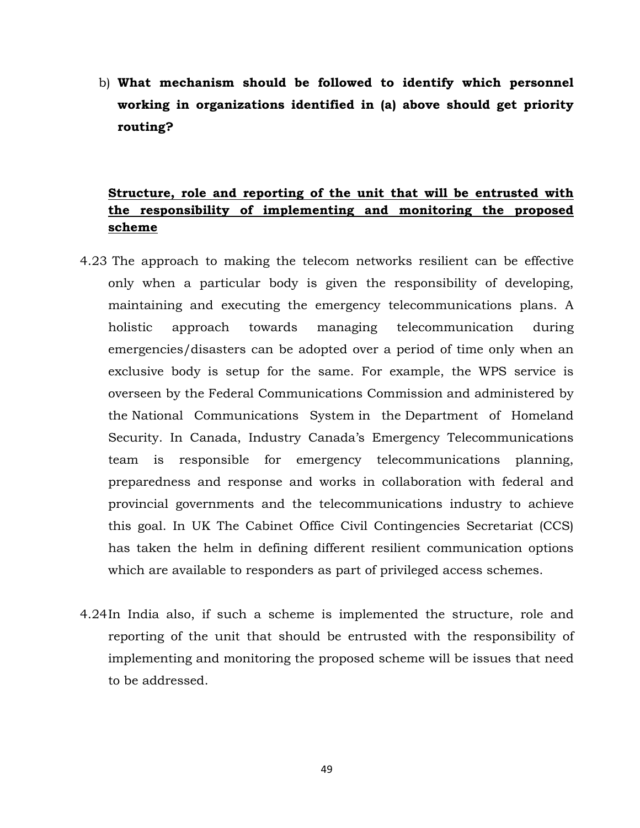b) **What mechanism should be followed to identify which personnel working in organizations identified in (a) above should get priority routing?** 

# **Structure, role and reporting of the unit that will be entrusted with the responsibility of implementing and monitoring the proposed scheme**

- 4.23 The approach to making the telecom networks resilient can be effective only when a particular body is given the responsibility of developing, maintaining and executing the emergency telecommunications plans. A holistic approach towards managing telecommunication during emergencies/disasters can be adopted over a period of time only when an exclusive body is setup for the same. For example, the WPS service is overseen by the Federal Communications Commission and administered by the National Communications System in the Department of Homeland Security. In Canada, Industry Canada's Emergency Telecommunications team is responsible for emergency telecommunications planning, preparedness and response and works in collaboration with federal and provincial governments and the telecommunications industry to achieve this goal. In UK The Cabinet Office Civil Contingencies Secretariat (CCS) has taken the helm in defining different resilient communication options which are available to responders as part of privileged access schemes.
- 4.24In India also, if such a scheme is implemented the structure, role and reporting of the unit that should be entrusted with the responsibility of implementing and monitoring the proposed scheme will be issues that need to be addressed.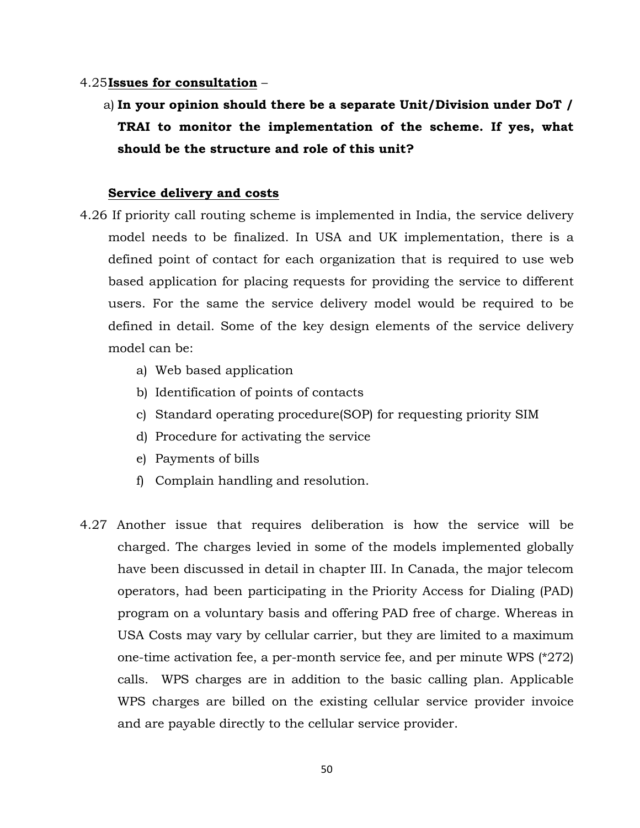## 4.25**Issues for consultation** –

a) **In your opinion should there be a separate Unit/Division under DoT / TRAI to monitor the implementation of the scheme. If yes, what should be the structure and role of this unit?** 

## **Service delivery and costs**

- 4.26 If priority call routing scheme is implemented in India, the service delivery model needs to be finalized. In USA and UK implementation, there is a defined point of contact for each organization that is required to use web based application for placing requests for providing the service to different users. For the same the service delivery model would be required to be defined in detail. Some of the key design elements of the service delivery model can be:
	- a) Web based application
	- b) Identification of points of contacts
	- c) Standard operating procedure(SOP) for requesting priority SIM
	- d) Procedure for activating the service
	- e) Payments of bills
	- f) Complain handling and resolution.
- 4.27 Another issue that requires deliberation is how the service will be charged. The charges levied in some of the models implemented globally have been discussed in detail in chapter III. In Canada, the major telecom operators, had been participating in the Priority Access for Dialing (PAD) program on a voluntary basis and offering PAD free of charge. Whereas in USA Costs may vary by cellular carrier, but they are limited to a maximum one-time activation fee, a per-month service fee, and per minute WPS (\*272) calls. WPS charges are in addition to the basic calling plan. Applicable WPS charges are billed on the existing cellular service provider invoice and are payable directly to the cellular service provider.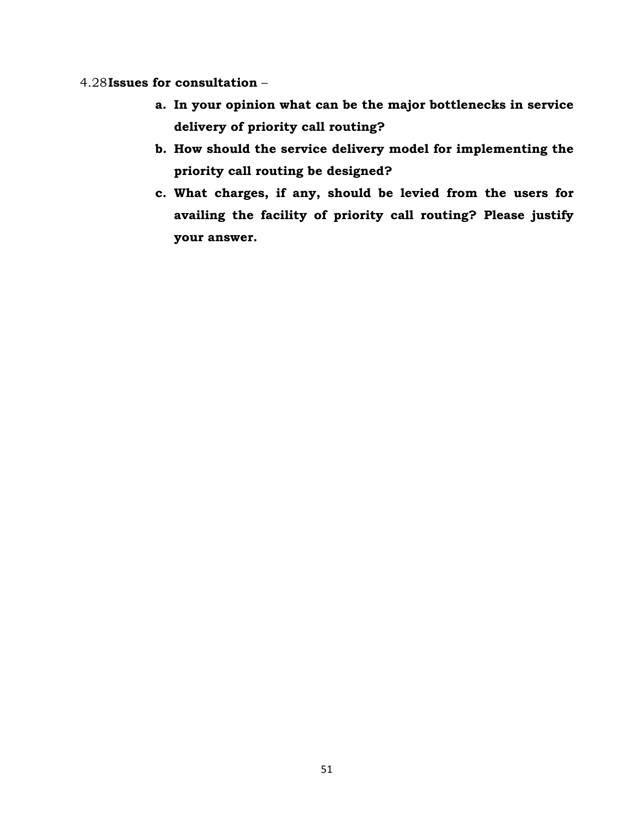# 4.28**Issues for consultation** –

- **a. In your opinion what can be the major bottlenecks in service delivery of priority call routing?**
- **b. How should the service delivery model for implementing the priority call routing be designed?**
- **c. What charges, if any, should be levied from the users for availing the facility of priority call routing? Please justify your answer.**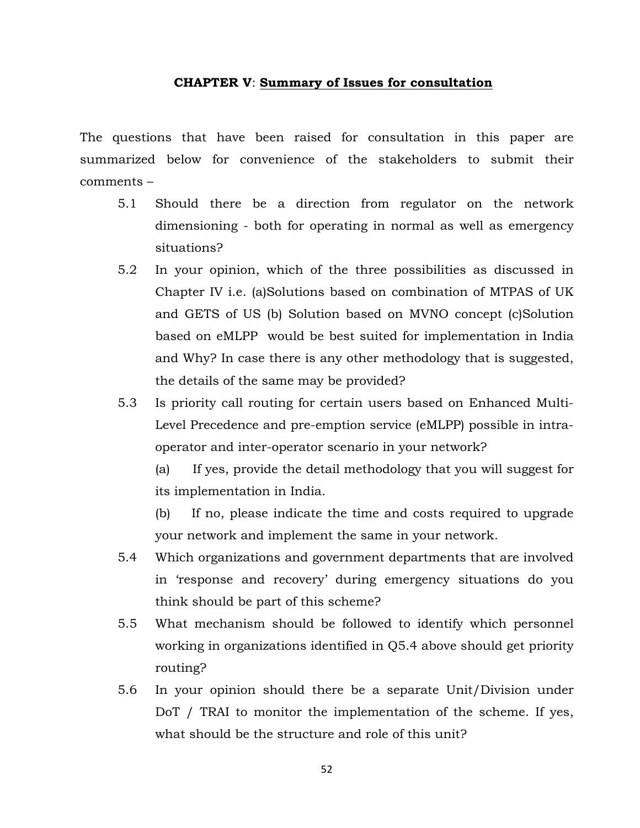#### **CHAPTER V**: **Summary of Issues for consultation**

The questions that have been raised for consultation in this paper are summarized below for convenience of the stakeholders to submit their comments –

- 5.1 Should there be a direction from regulator on the network dimensioning - both for operating in normal as well as emergency situations?
- 5.2 In your opinion, which of the three possibilities as discussed in Chapter IV i.e. (a)Solutions based on combination of MTPAS of UK and GETS of US (b) Solution based on MVNO concept (c)Solution based on eMLPP would be best suited for implementation in India and Why? In case there is any other methodology that is suggested, the details of the same may be provided?
- 5.3 Is priority call routing for certain users based on Enhanced Multi-Level Precedence and pre-emption service (eMLPP) possible in intraoperator and inter-operator scenario in your network?

(a) If yes, provide the detail methodology that you will suggest for its implementation in India.

(b) If no, please indicate the time and costs required to upgrade your network and implement the same in your network.

- 5.4 Which organizations and government departments that are involved in 'response and recovery' during emergency situations do you think should be part of this scheme?
- 5.5 What mechanism should be followed to identify which personnel working in organizations identified in Q5.4 above should get priority routing?
- 5.6 In your opinion should there be a separate Unit/Division under DoT / TRAI to monitor the implementation of the scheme. If yes, what should be the structure and role of this unit?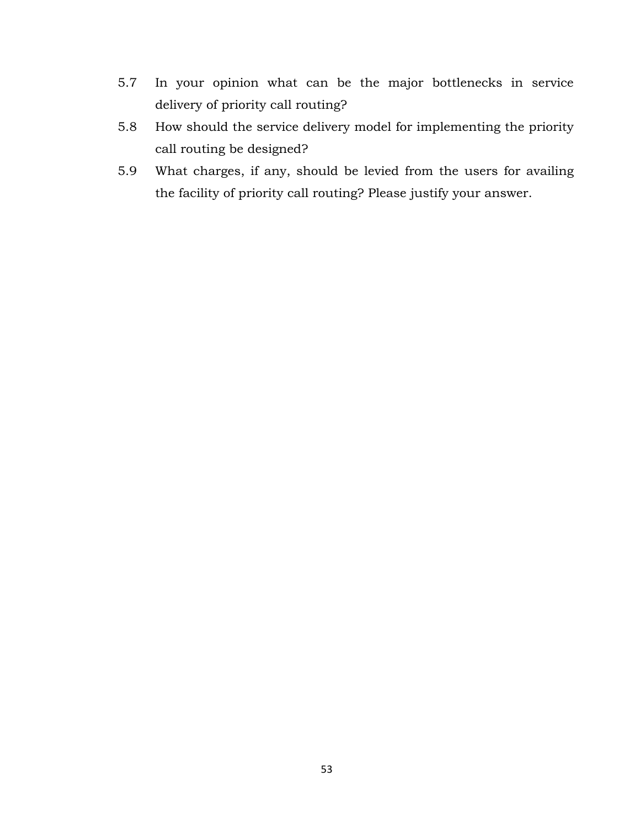- 5.7 In your opinion what can be the major bottlenecks in service delivery of priority call routing?
- 5.8 How should the service delivery model for implementing the priority call routing be designed?
- 5.9 What charges, if any, should be levied from the users for availing the facility of priority call routing? Please justify your answer.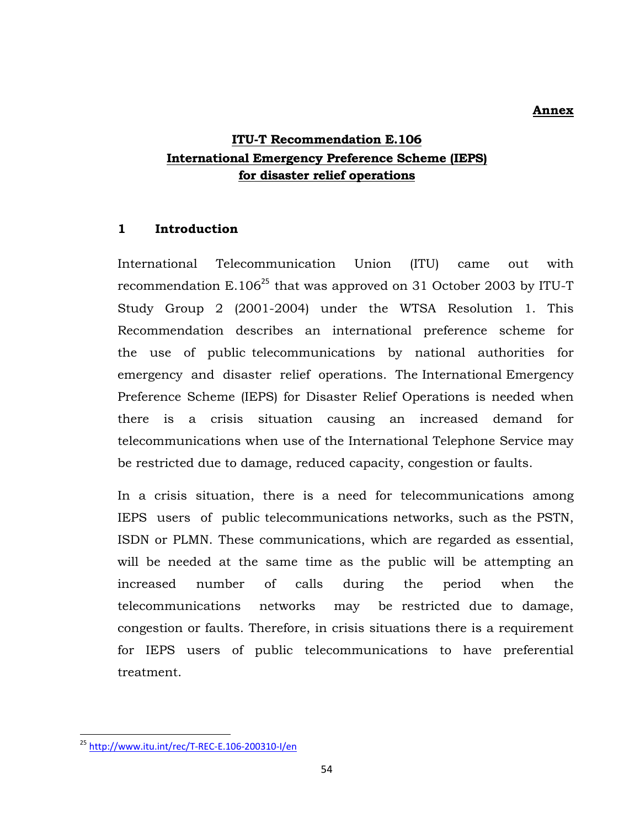#### **Annex**

# **ITU-T Recommendation E.106 International Emergency Preference Scheme (IEPS) for disaster relief operations**

# **1 Introduction**

International Telecommunication Union (ITU) came out with recommendation  $E.106^{25}$  that was approved on 31 October 2003 by ITU-T Study Group 2 (2001-2004) under the WTSA Resolution 1. This Recommendation describes an international preference scheme for the use of public telecommunications by national authorities for emergency and disaster relief operations. The International Emergency Preference Scheme (IEPS) for Disaster Relief Operations is needed when there is a crisis situation causing an increased demand for telecommunications when use of the International Telephone Service may be restricted due to damage, reduced capacity, congestion or faults.

In a crisis situation, there is a need for telecommunications among IEPS users of public telecommunications networks, such as the PSTN, ISDN or PLMN. These communications, which are regarded as essential, will be needed at the same time as the public will be attempting an increased number of calls during the period when the telecommunications networks may be restricted due to damage, congestion or faults. Therefore, in crisis situations there is a requirement for IEPS users of public telecommunications to have preferential treatment.

<sup>25</sup> http://www.itu.int/rec/T‐REC‐E.106‐200310‐I/en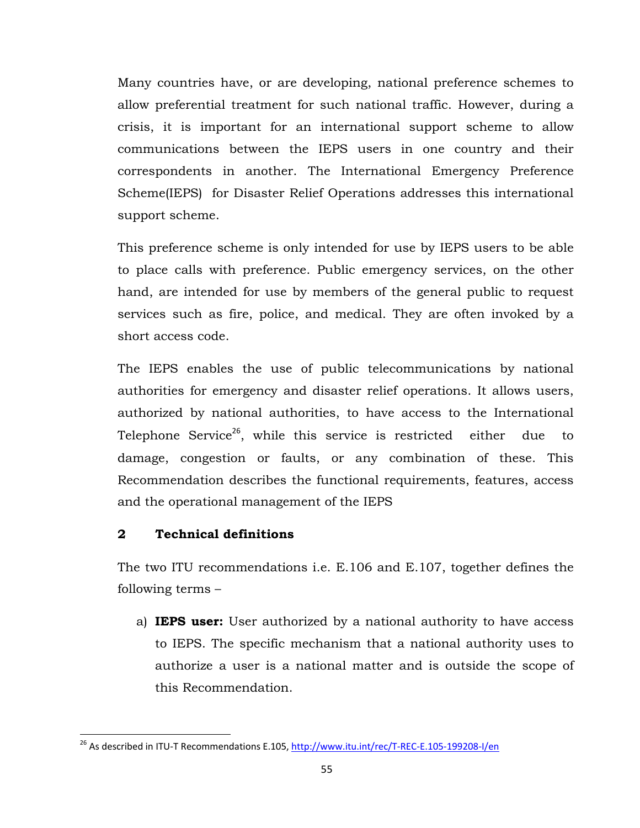Many countries have, or are developing, national preference schemes to allow preferential treatment for such national traffic. However, during a crisis, it is important for an international support scheme to allow communications between the IEPS users in one country and their correspondents in another. The International Emergency Preference Scheme(IEPS) for Disaster Relief Operations addresses this international support scheme.

This preference scheme is only intended for use by IEPS users to be able to place calls with preference. Public emergency services, on the other hand, are intended for use by members of the general public to request services such as fire, police, and medical. They are often invoked by a short access code.

The IEPS enables the use of public telecommunications by national authorities for emergency and disaster relief operations. It allows users, authorized by national authorities, to have access to the International Telephone Service<sup>26</sup>, while this service is restricted either due to damage, congestion or faults, or any combination of these. This Recommendation describes the functional requirements, features, access and the operational management of the IEPS

# **2 Technical definitions**

The two ITU recommendations i.e. E.106 and E.107, together defines the following terms –

a) **IEPS user:** User authorized by a national authority to have access to IEPS. The specific mechanism that a national authority uses to authorize a user is a national matter and is outside the scope of this Recommendation.

<sup>&</sup>lt;sup>26</sup> As described in ITU-T Recommendations E.105, http://www.itu.int/rec/T-REC-E.105-199208-I/en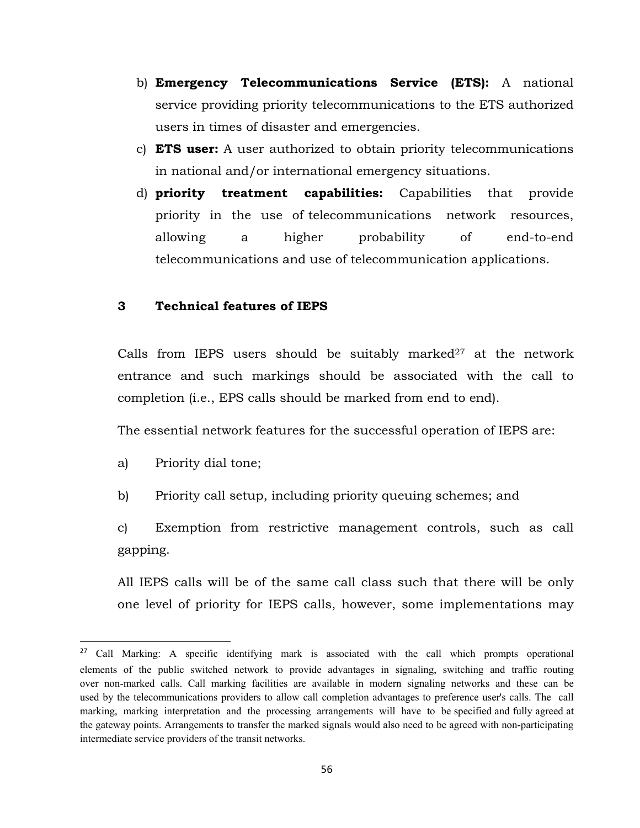- b) **Emergency Telecommunications Service (ETS):** A national service providing priority telecommunications to the ETS authorized users in times of disaster and emergencies.
- c) **ETS user:** A user authorized to obtain priority telecommunications in national and/or international emergency situations.
- d) **priority treatment capabilities:** Capabilities that provide priority in the use of telecommunications network resources, allowing a higher probability of end-to-end telecommunications and use of telecommunication applications.

### **3 Technical features of IEPS**

Calls from IEPS users should be suitably marked $27$  at the network entrance and such markings should be associated with the call to completion (i.e., EPS calls should be marked from end to end).

The essential network features for the successful operation of IEPS are:

a) Priority dial tone;

b) Priority call setup, including priority queuing schemes; and

c) Exemption from restrictive management controls, such as call gapping.

All IEPS calls will be of the same call class such that there will be only one level of priority for IEPS calls, however, some implementations may

<sup>&</sup>lt;sup>27</sup> Call Marking: A specific identifying mark is associated with the call which prompts operational elements of the public switched network to provide advantages in signaling, switching and traffic routing over non-marked calls. Call marking facilities are available in modern signaling networks and these can be used by the telecommunications providers to allow call completion advantages to preference user's calls. The call marking, marking interpretation and the processing arrangements will have to be specified and fully agreed at the gateway points. Arrangements to transfer the marked signals would also need to be agreed with non-participating intermediate service providers of the transit networks.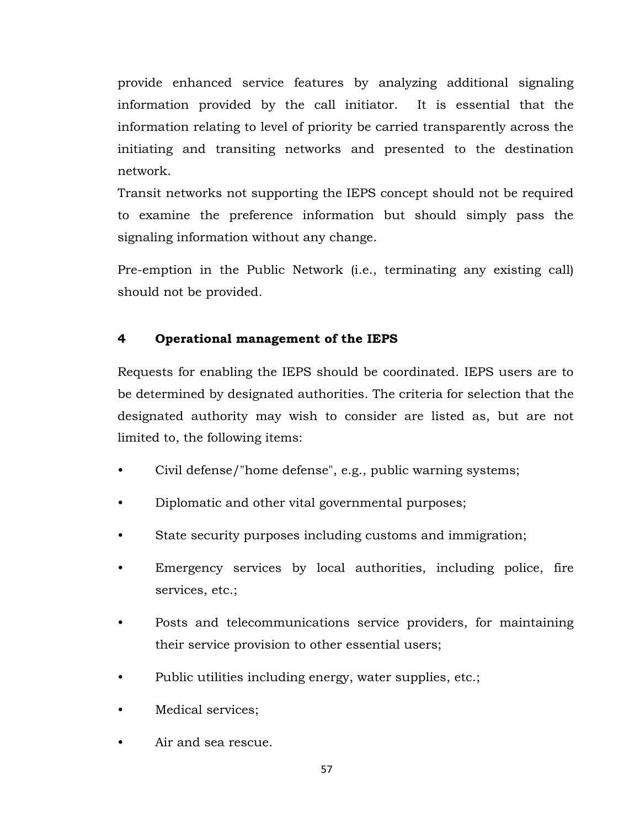provide enhanced service features by analyzing additional signaling information provided by the call initiator. It is essential that the information relating to level of priority be carried transparently across the initiating and transiting networks and presented to the destination network.

Transit networks not supporting the IEPS concept should not be required to examine the preference information but should simply pass the signaling information without any change.

Pre-emption in the Public Network (i.e., terminating any existing call) should not be provided.

# **4 Operational management of the IEPS**

Requests for enabling the IEPS should be coordinated. IEPS users are to be determined by designated authorities. The criteria for selection that the designated authority may wish to consider are listed as, but are not limited to, the following items:

- Civil defense/"home defense", e.g., public warning systems;
- Diplomatic and other vital governmental purposes;
- State security purposes including customs and immigration;
- Emergency services by local authorities, including police, fire services, etc.;
- Posts and telecommunications service providers, for maintaining their service provision to other essential users;
- Public utilities including energy, water supplies, etc.;
- Medical services;
- Air and sea rescue.